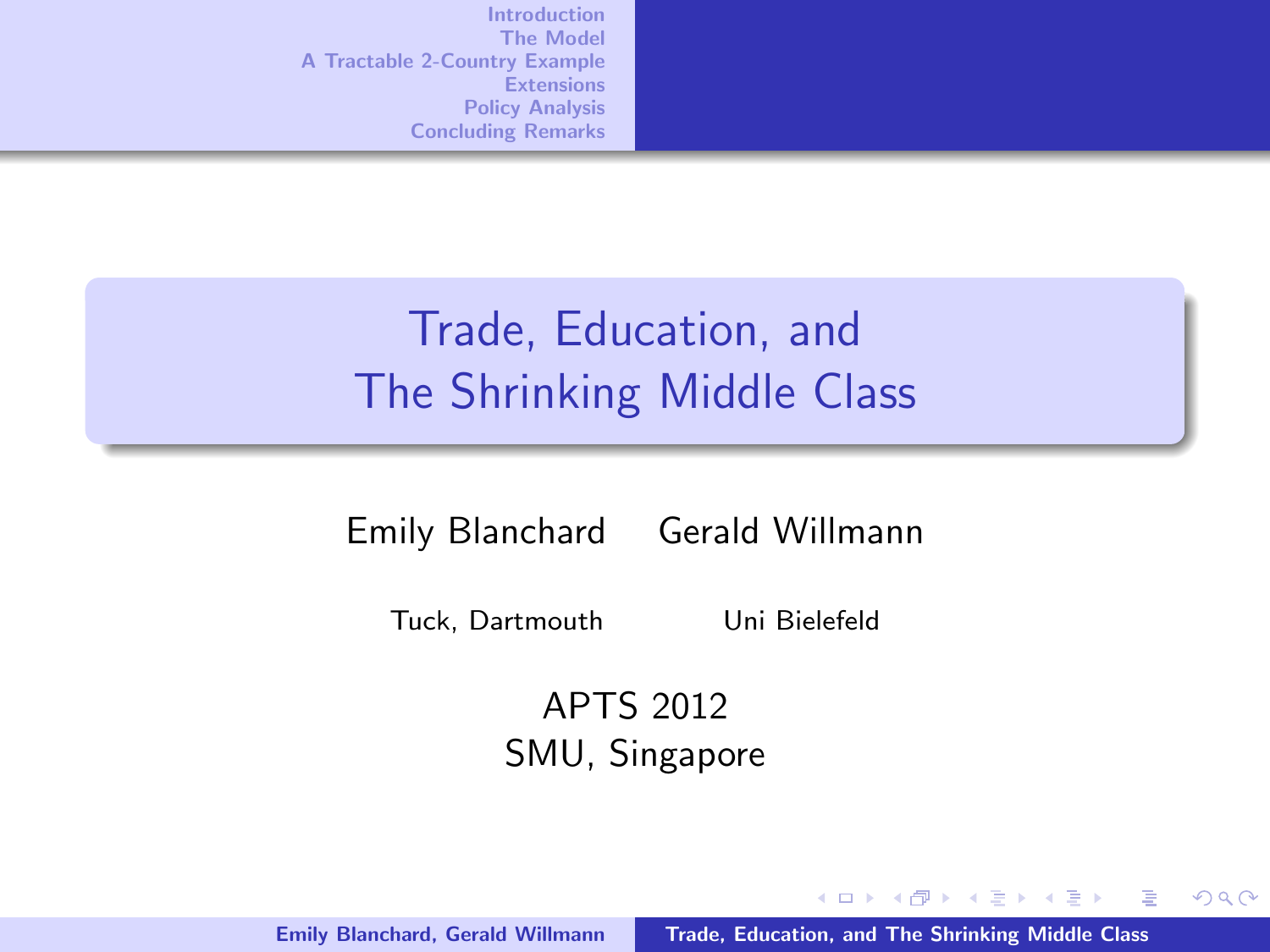# Trade, Education, and The Shrinking Middle Class

Emily Blanchard Gerald Willmann

Tuck, Dartmouth Uni Bielefeld

K ロ ⊁ K 倒 ≯ K ミ ⊁ K ミ ⊁

 $2Q$ 

<span id="page-0-0"></span>唾

APTS 2012 SMU, Singapore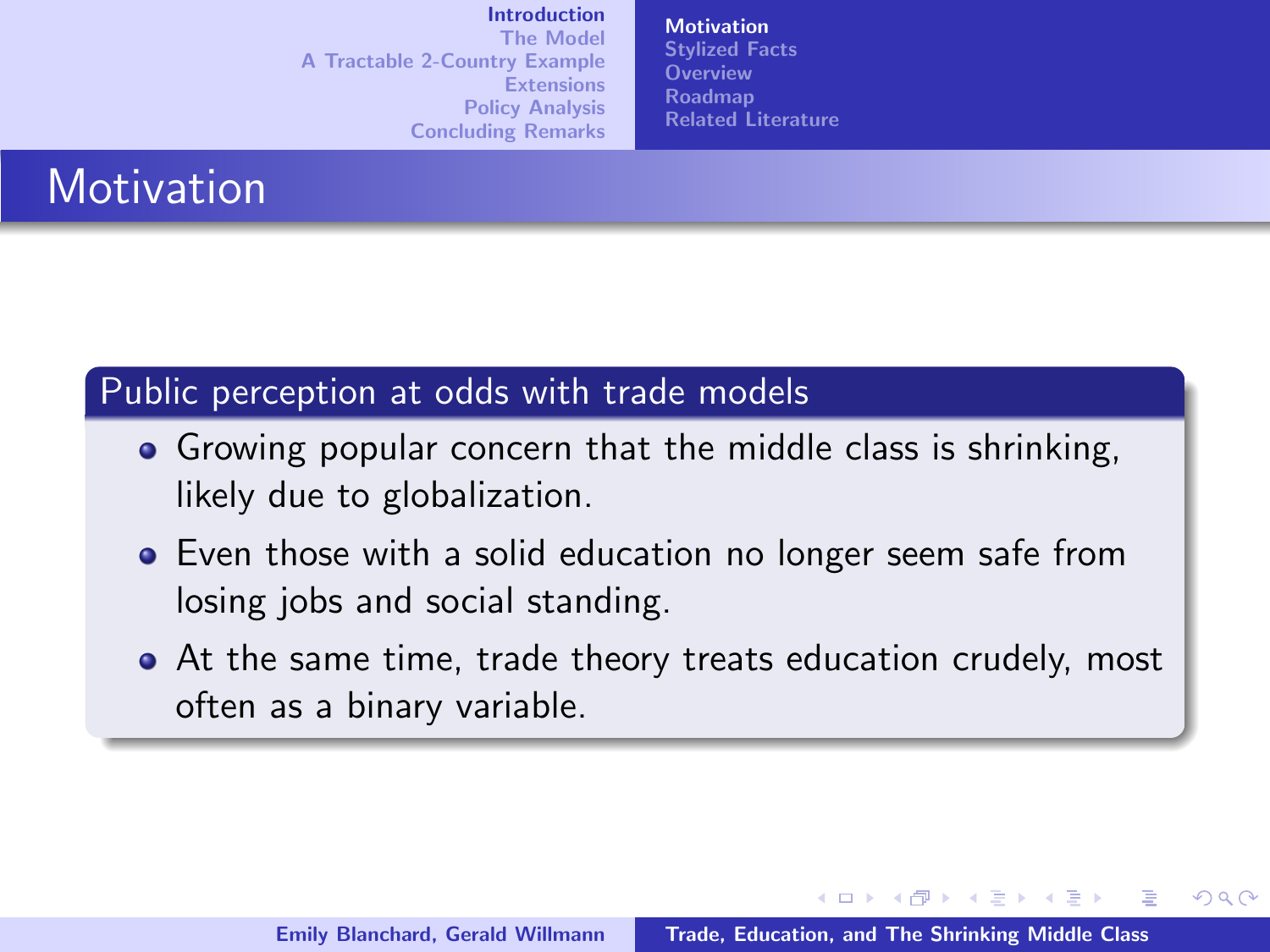#### [Introduction](#page-1-0)

[The Model](#page-7-0) [A Tractable 2-Country Example](#page-14-0) [Extensions](#page-32-0) [Policy Analysis](#page-36-0) [Concluding Remarks](#page-39-0) **[Motivation](#page-1-0)** [Stylized Facts](#page-2-0) **[Overview](#page-4-0)** [Roadmap](#page-5-0) [Related Literature](#page-6-0)

# **Motivation**

### Public perception at odds with trade models

- Growing popular concern that the middle class is shrinking, likely due to globalization.
- Even those with a solid education no longer seem safe from losing jobs and social standing.
- At the same time, trade theory treats education crudely, most often as a binary variable.

<span id="page-1-0"></span>K ロ ⊁ K 倒 ≯ K ミ ⊁ K ミ ⊁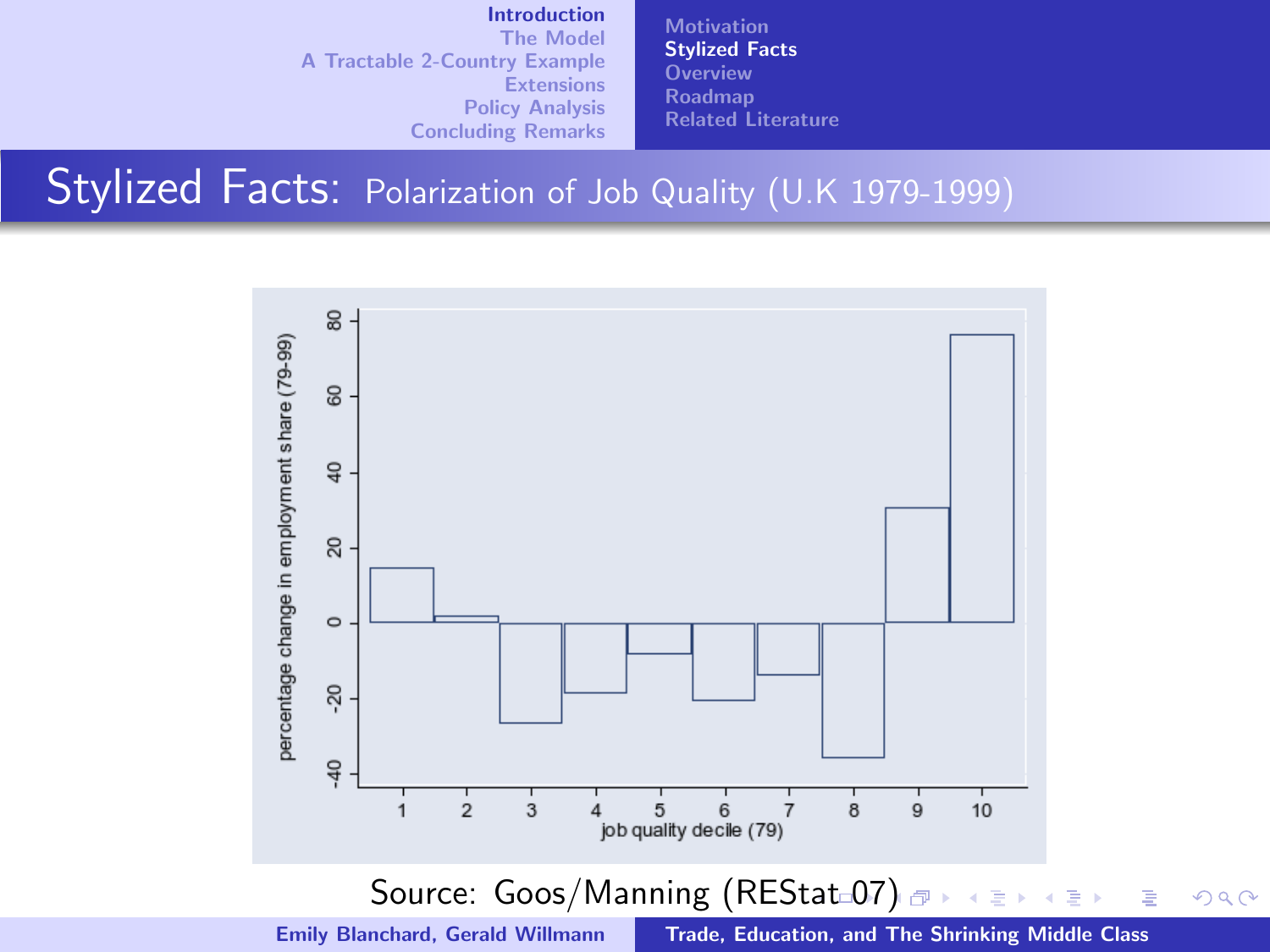[Introduction](#page-1-0)

[The Model](#page-7-0) [A Tractable 2-Country Example](#page-14-0) **[Extensions](#page-32-0)** [Policy Analysis](#page-36-0) [Concluding Remarks](#page-39-0) **[Motivation](#page-1-0)** [Stylized Facts](#page-2-0) **[Overview](#page-4-0)** [Roadmap](#page-5-0) [Related Literature](#page-6-0)

### Stylized Facts: Polarization of Job Quality (U.K 1979-1999)



<span id="page-2-0"></span>重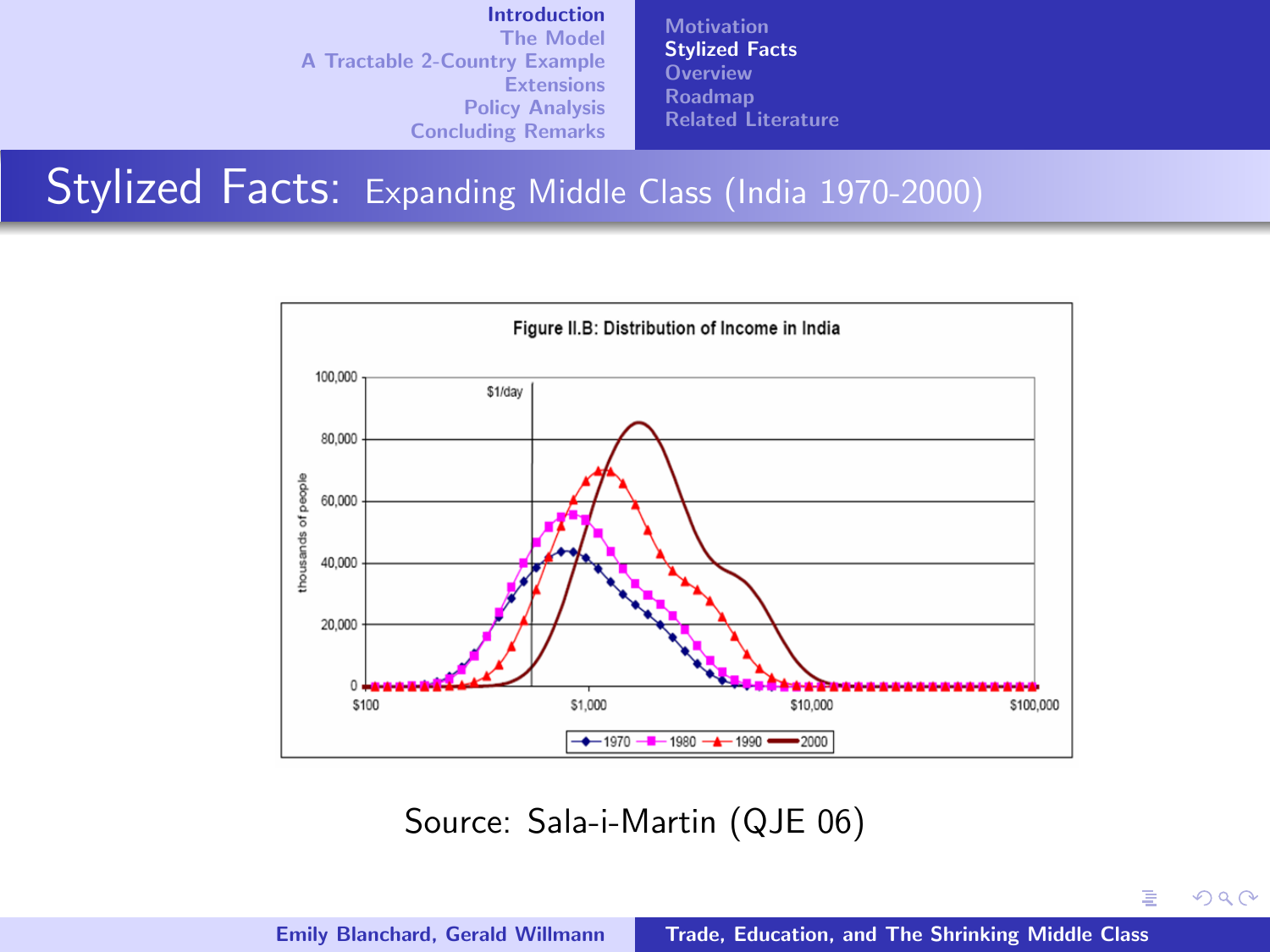**[Motivation](#page-1-0)** [Stylized Facts](#page-2-0) **[Overview](#page-4-0)** [Roadmap](#page-5-0) [Related Literature](#page-6-0)

Stylized Facts: Expanding Middle Class (India 1970-2000)



Source: Sala-i-Martin (QJE 06)

<span id="page-3-0"></span> $2Q$ 

ă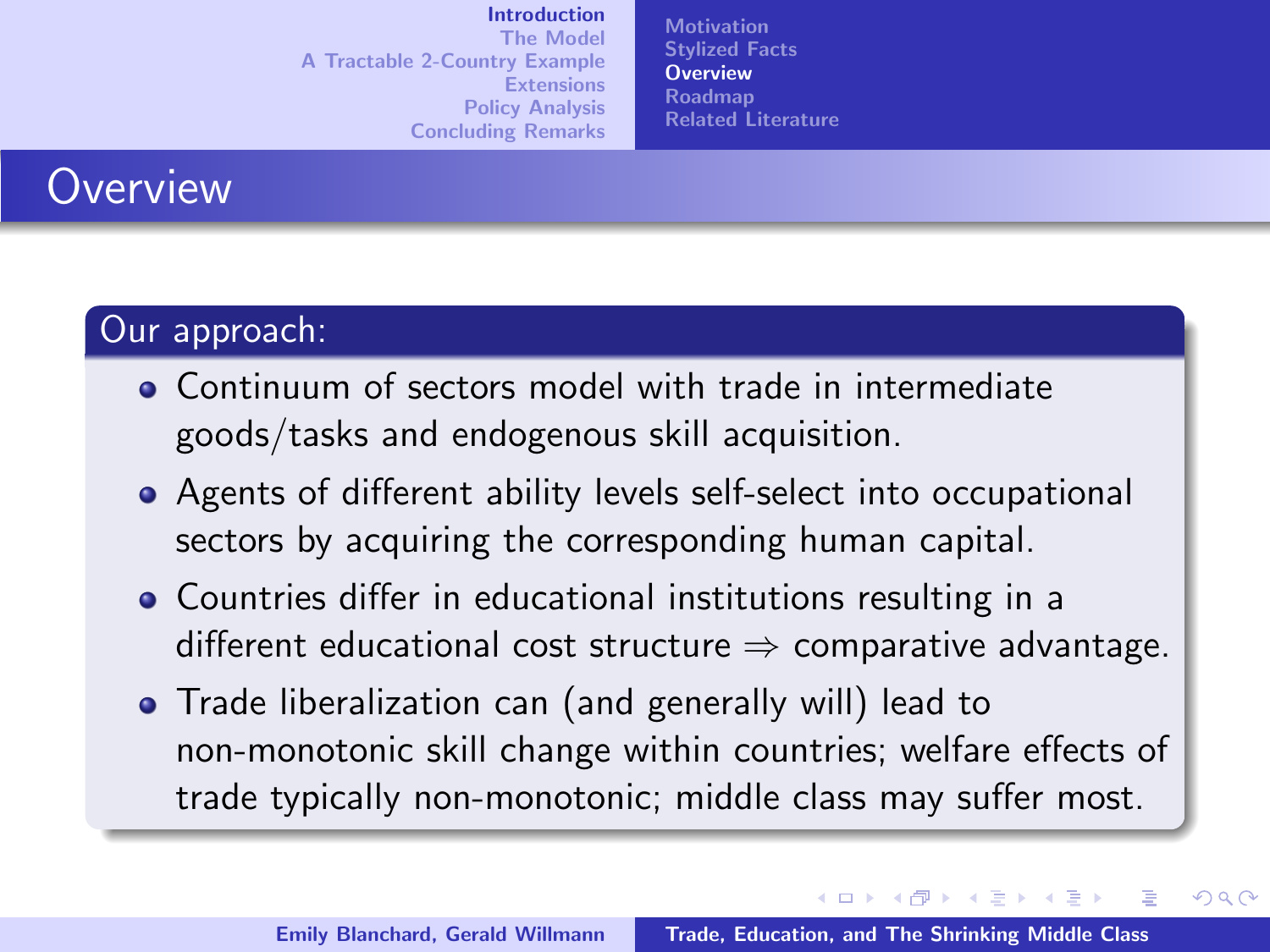#### [Introduction](#page-1-0)

[The Model](#page-7-0) [A Tractable 2-Country Example](#page-14-0) [Extensions](#page-32-0) [Policy Analysis](#page-36-0) [Concluding Remarks](#page-39-0) **[Motivation](#page-1-0)** [Stylized Facts](#page-2-0) **[Overview](#page-4-0)** [Roadmap](#page-5-0) [Related Literature](#page-6-0)

# **Overview**

### Our approach:

- Continuum of sectors model with trade in intermediate goods/tasks and endogenous skill acquisition.
- Agents of different ability levels self-select into occupational sectors by acquiring the corresponding human capital.
- Countries differ in educational institutions resulting in a different educational cost structure  $\Rightarrow$  comparative advantage.
- Trade liberalization can (and generally will) lead to non-monotonic skill change within countries; welfare effects of trade typically non-monotonic; middle class may suffer most.

メロメ メ御 メメ ミメ メミメ

<span id="page-4-0"></span> $\Omega$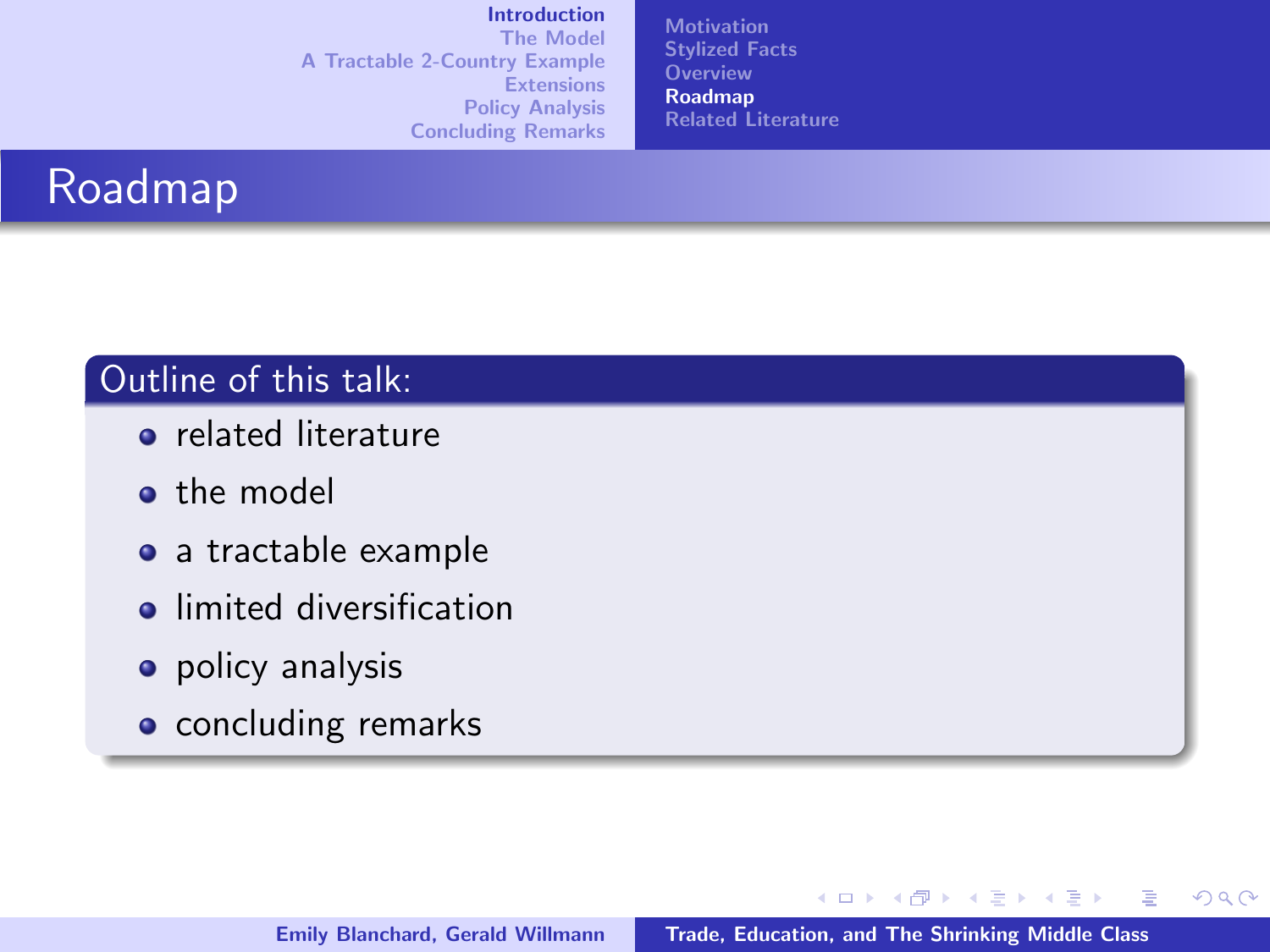#### [Introduction](#page-1-0)

[The Model](#page-7-0) [A Tractable 2-Country Example](#page-14-0) **[Extensions](#page-32-0)** [Policy Analysis](#page-36-0) [Concluding Remarks](#page-39-0) **[Motivation](#page-1-0)** [Stylized Facts](#page-2-0) [Overview](#page-4-0) [Roadmap](#page-5-0) [Related Literature](#page-6-0)

# Roadmap

### Outline of this talk:

- **e** related literature
- the model
- a tractable example
- **o** limited diversification
- **•** policy analysis
- concluding remarks

K ロ ⊁ K 倒 ≯ K ミ ⊁ K ミ ⊁

<span id="page-5-0"></span>重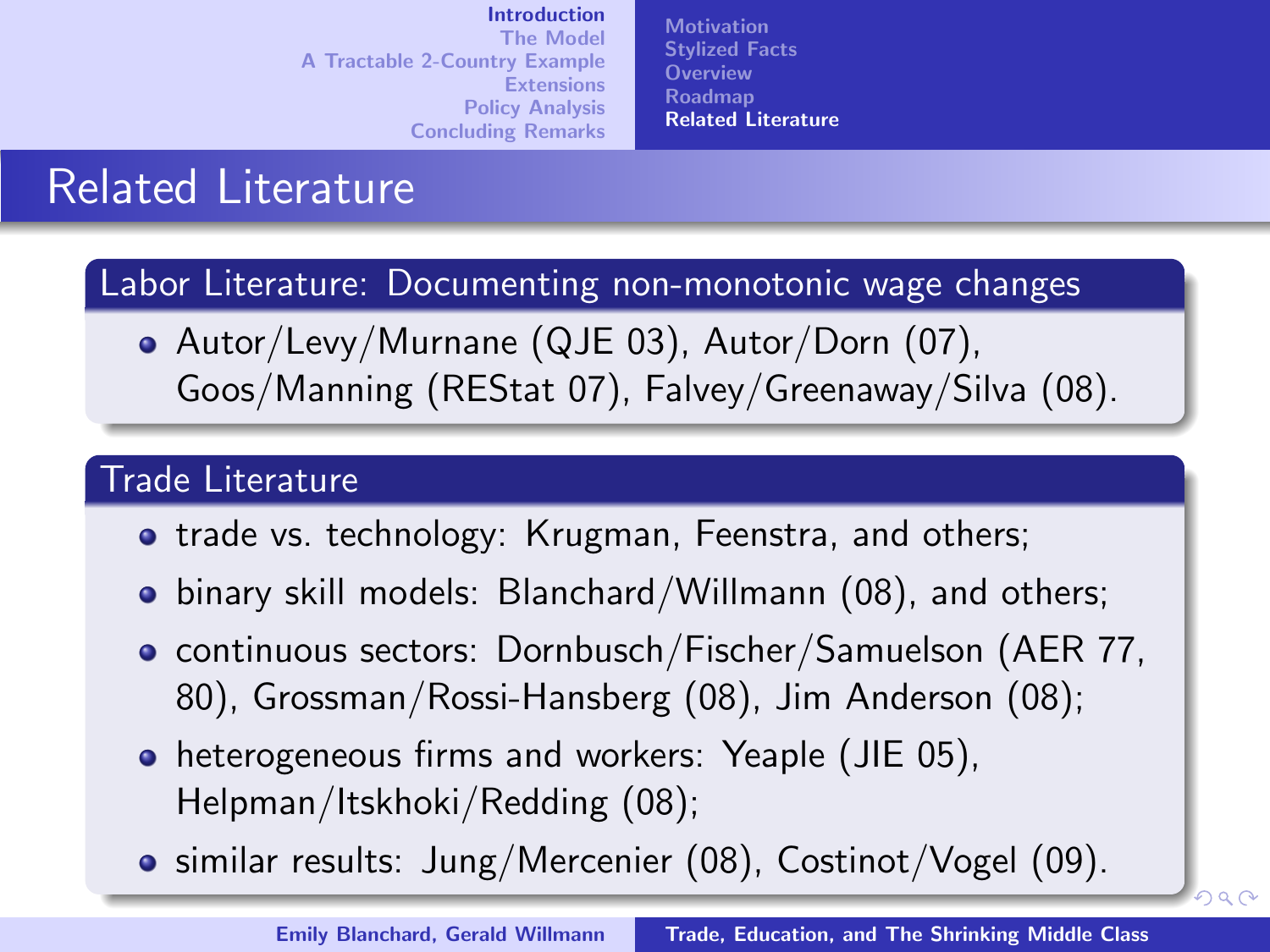[Introduction](#page-1-0) [The Model](#page-7-0) [A Tractable 2-Country Example](#page-14-0) [Extensions](#page-32-0) [Policy Analysis](#page-36-0)

[Concluding Remarks](#page-39-0)

**[Motivation](#page-1-0)** [Stylized Facts](#page-2-0) **[Overview](#page-4-0)** [Roadmap](#page-5-0) [Related Literature](#page-6-0)

# Related Literature

Labor Literature: Documenting non-monotonic wage changes

Autor/Levy/Murnane (QJE 03), Autor/Dorn (07), Goos/Manning (REStat 07), Falvey/Greenaway/Silva (08).

### Trade Literature

- trade vs. technology: Krugman, Feenstra, and others;
- binary skill models: Blanchard/Willmann (08), and others;
- continuous sectors: Dornbusch/Fischer/Samuelson (AER 77, 80), Grossman/Rossi-Hansberg (08), Jim Anderson (08);
- heterogeneous firms and workers: Yeaple (JIE 05), Helpman/Itskhoki/Redding (08);
- similar results: Jung/Mercenier (08), Costinot/Vogel (09).

logo

<span id="page-6-0"></span> $\circ$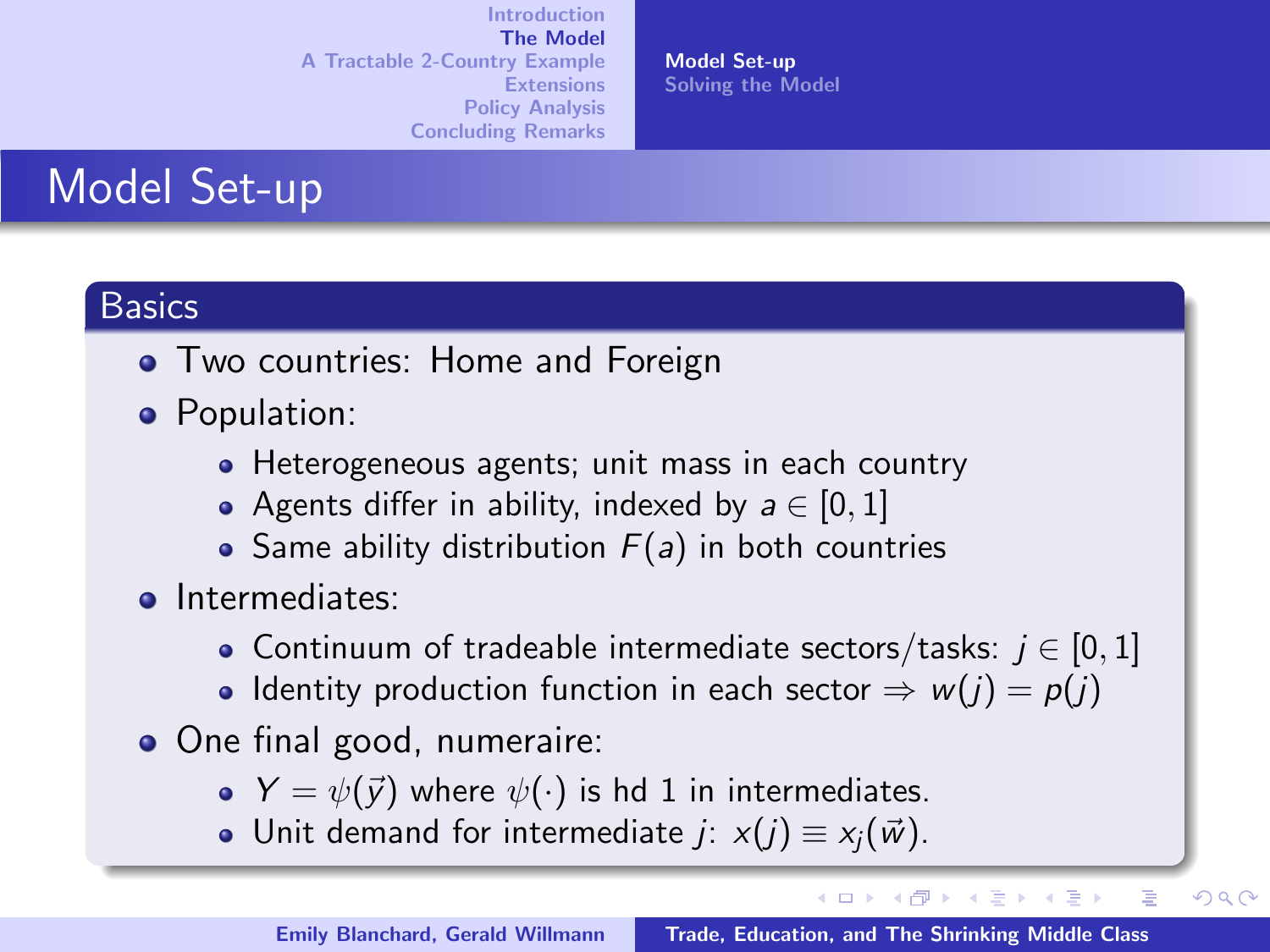[Model Set-up](#page-7-0) [Solving the Model](#page-9-0)

### Model Set-up

### **Basics**

- **•** Two countries: Home and Foreign
- Population:
	- Heterogeneous agents; unit mass in each country
	- Agents differ in ability, indexed by  $a \in [0,1]$
	- Same ability distribution  $F(a)$  in both countries
- **o** Intermediates:
	- Continuum of tradeable intermediate sectors/tasks:  $j \in [0, 1]$
	- Identity production function in each sector  $\Rightarrow w(j) = p(j)$
- One final good, numeraire:
	- $Y = \psi(\vec{y})$  where  $\psi(\cdot)$  is hd 1 in intermediates.
	- Unit demand for intermediate  $j: x(j) \equiv x_i(\vec{w})$ .

メロメ メ御 メメ ミメ メミメ

logo

<span id="page-7-0"></span> $2Q$ 

E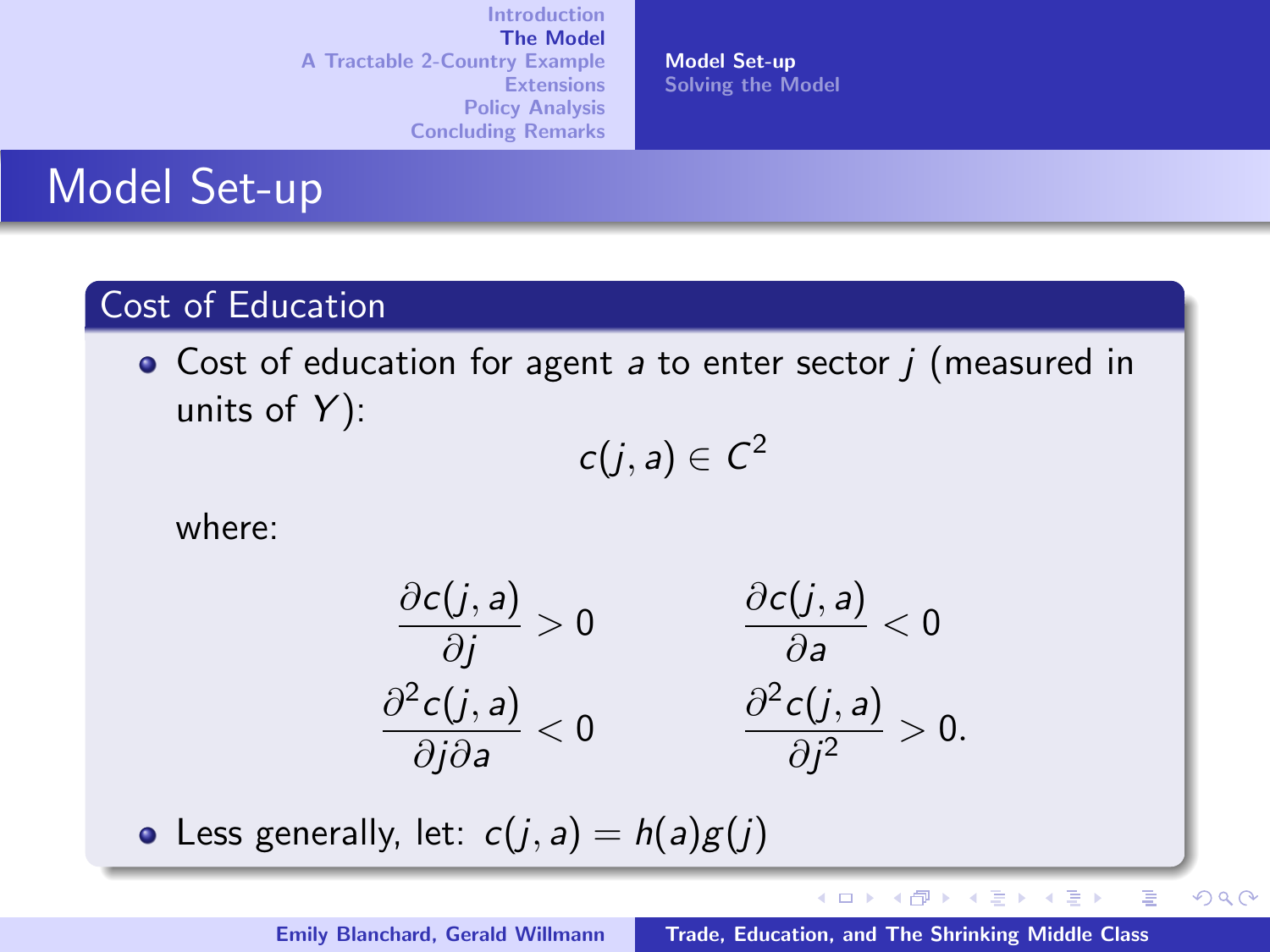[Model Set-up](#page-7-0) [Solving the Model](#page-9-0)

### Model Set-up

### Cost of Education

 $\bullet$  Cost of education for agent a to enter sector *j* (measured in units of  $Y$ ):

 $c(j, a) \in C^2$ 

where:

$$
\begin{aligned}\n\frac{\partial c(j, a)}{\partial j} > 0 & \frac{\partial c(j, a)}{\partial a} < 0 \\
\frac{\partial^2 c(j, a)}{\partial j \partial a} < 0 & \frac{\partial^2 c(j, a)}{\partial j^2} > 0.\n\end{aligned}
$$

• Less generally, let:  $c(j, a) = h(a)g(j)$ 

logo

 $2Q$ 

 $\equiv$ 

K ロ ⊁ K 倒 ≯ K ミ ⊁ K ミ ⊁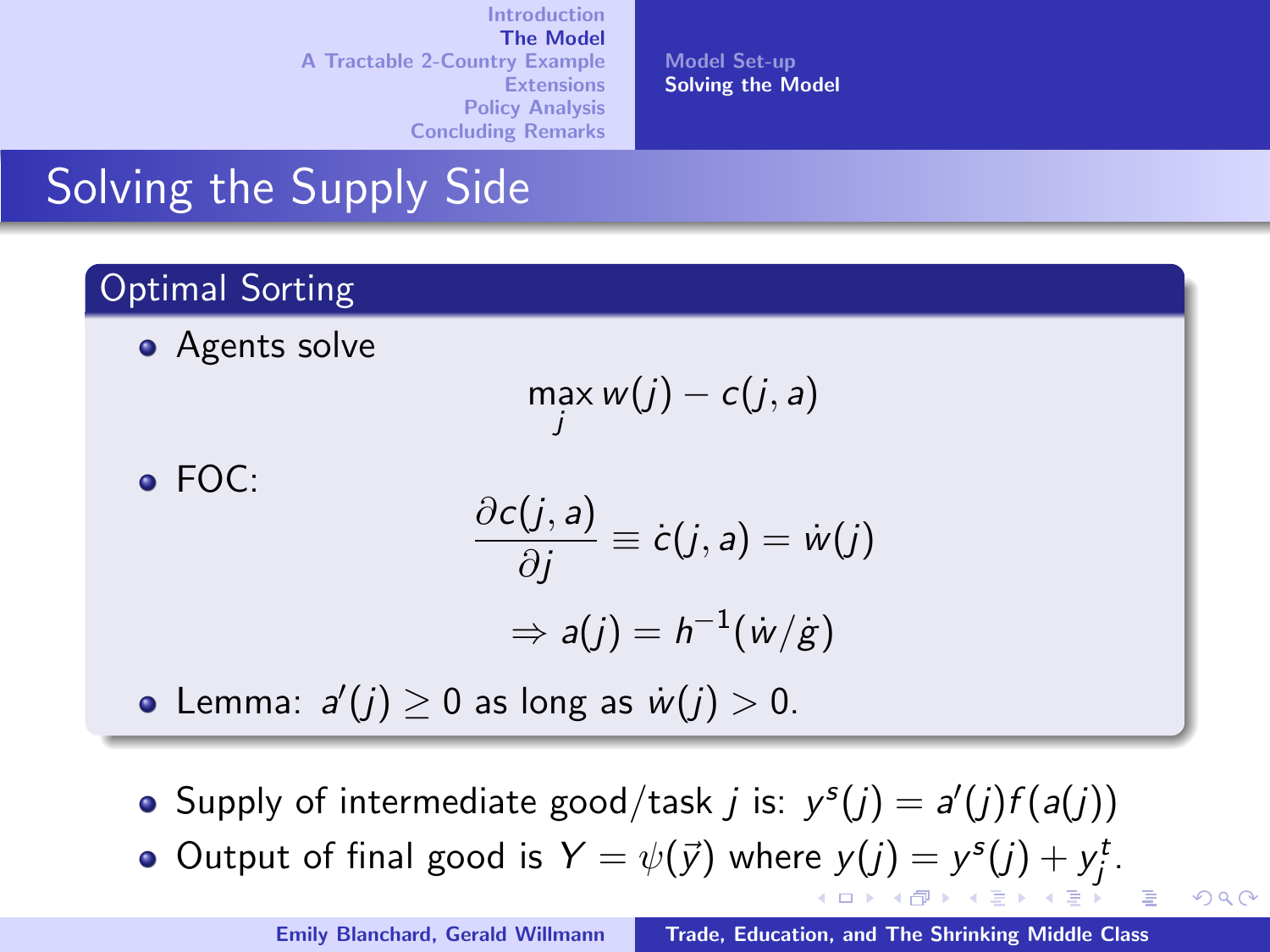[Model Set-up](#page-7-0) [Solving the Model](#page-9-0)

### Solving the Supply Side

### Optimal Sorting

• Agents solve

$$
\max_j w(j) - c(j, a)
$$

FOC:

$$
\frac{\partial c(j, a)}{\partial j} \equiv \dot{c}(j, a) = \dot{w}(j)
$$

$$
\Rightarrow a(j) = h^{-1}(\dot{w}/\dot{g})
$$

Lemma:  $a'(j) \geq 0$  as long as  $\dot{w}(j) > 0$ .

- Supply of intermediate good/task *j* is:  $y^{s}(j) = a'(j)f(a(j))$
- Output of final good is  $Y = \psi(\vec{y})$  where  $y(j) = y^s(j) + y_j^t$  $y(j) = y^s(j) + y_j^t$  $y(j) = y^s(j) + y_j^t$ .

<span id="page-9-0"></span>4 m b 4 m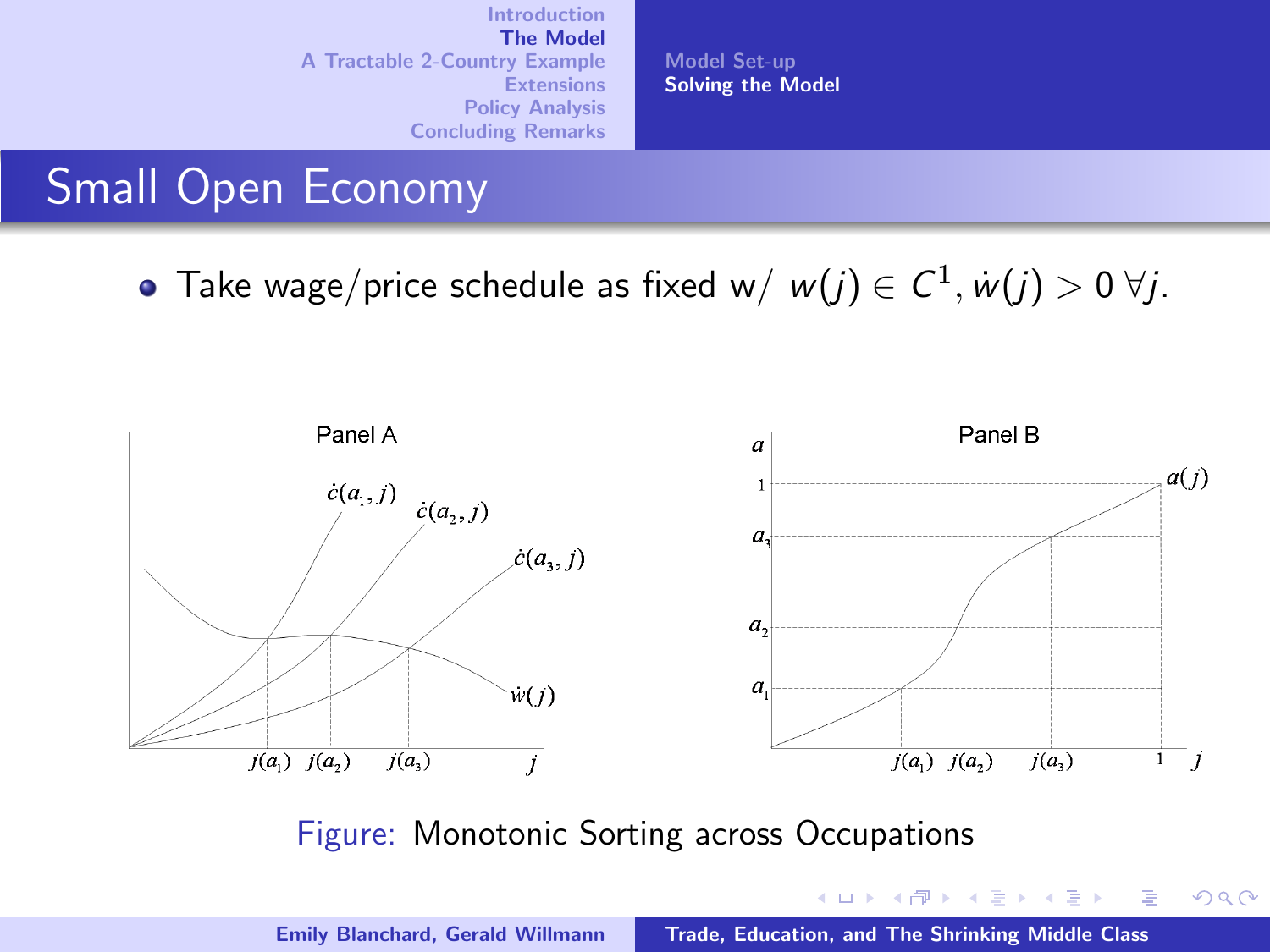[Model Set-up](#page-7-0) [Solving the Model](#page-9-0)

### Small Open Economy

Take wage/price schedule as fixed w/  $w(j) \in C^1,$   $\dot{w}(j) > 0$   $\forall j.$ 



Figure: Monotonic Sorting across Occupations

K ロ ⊁ K 倒 ≯ K ミ ⊁ K ミ ⊁

重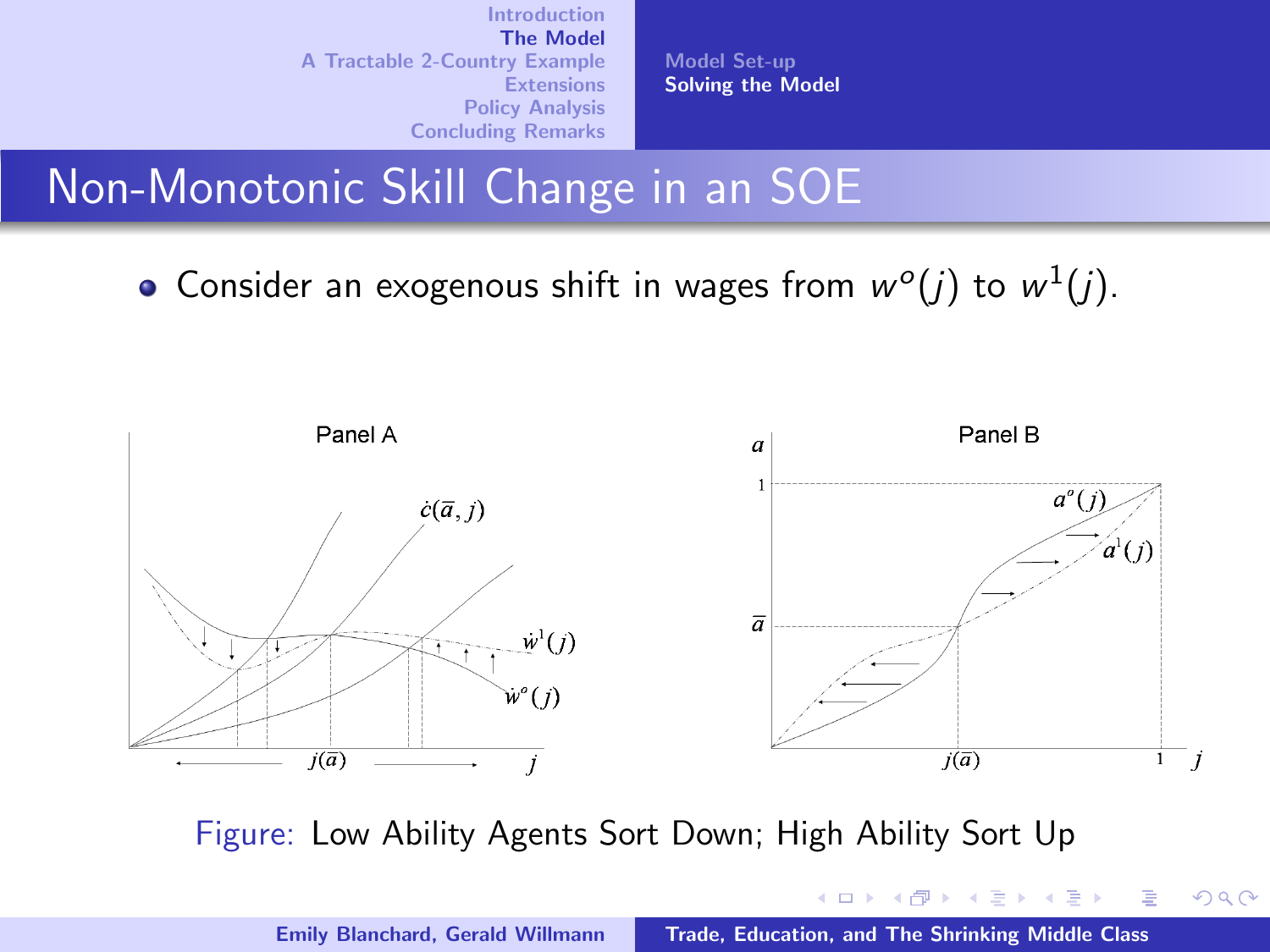[Model Set-up](#page-7-0) [Solving the Model](#page-9-0)

### Non-Monotonic Skill Change in an SOE

Consider an exogenous shift in wages from  $w^o(j)$  to  $w^1(j)$ .



Figure: Low Ability Agents Sort Down; High Ability Sort Up

 $4.11 \times 4.49 \times 4.77 \times 4.77$ 

 $2Q$ 

扂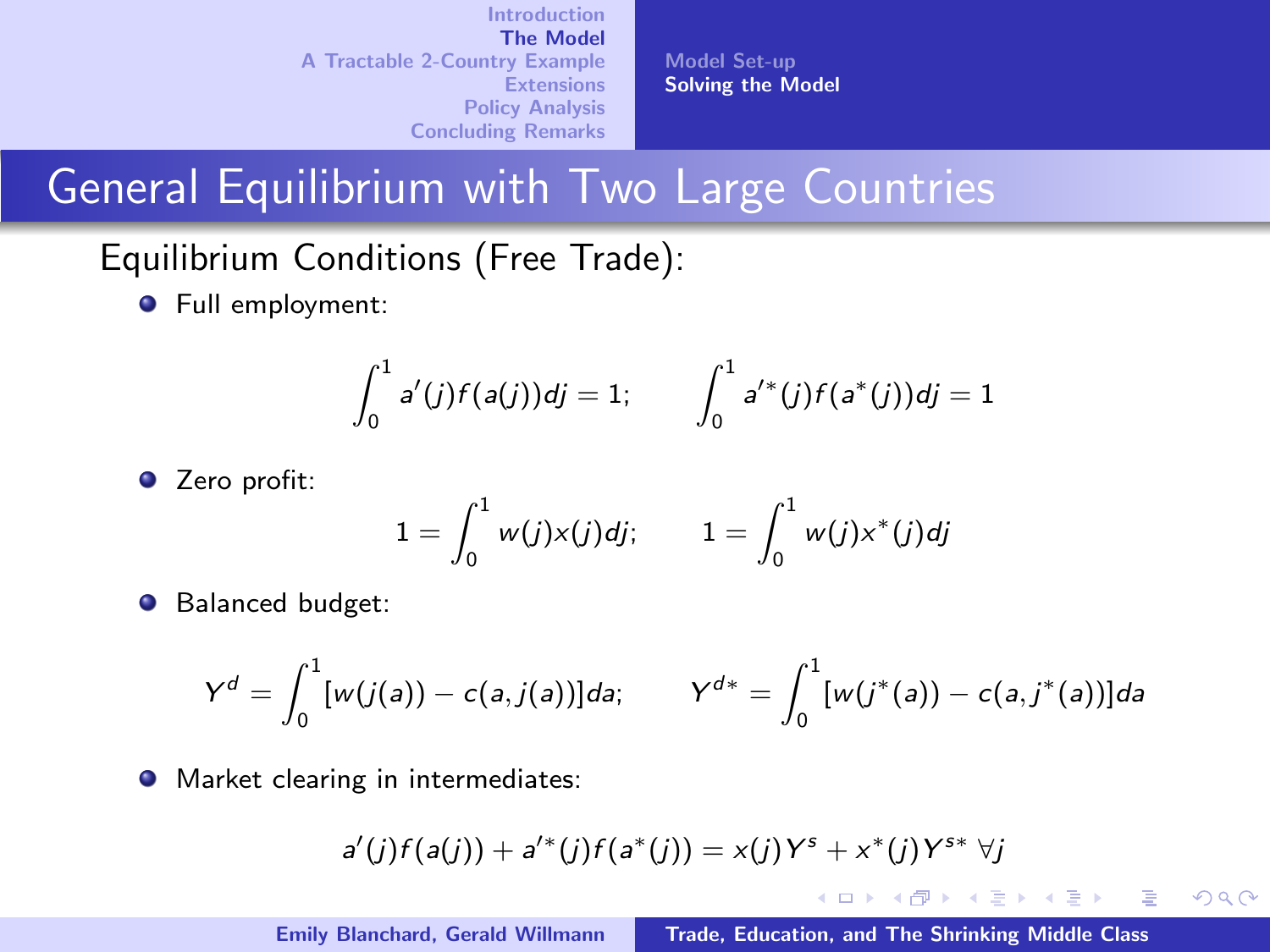[Model Set-up](#page-7-0) **[Solving the Model](#page-9-0)** 

# General Equilibrium with Two Large Countries

Equilibrium Conditions (Free Trade):

**O** Full employment:

$$
\int_0^1 a'(j)f(a(j))dj = 1; \qquad \int_0^1 a'^*(j)f(a^*(j))dj = 1
$$

**O** Zero profit:

$$
1=\int_0^1 w(j)x(j)dj; \qquad 1=\int_0^1 w(j)x^*(j)dj
$$

 $\bullet$ Balanced budget:

$$
Y^d = \int_0^1 [w(j(a)) - c(a, j(a))]da; \qquad Y^{d*} = \int_0^1 [w(j^*(a)) - c(a, j^*(a))]da
$$

**•** Market clearing in intermediates:

$$
a'(j)f(a(j)) + a'^*(j)f(a^*(j)) = x(j)Y^s + x^*(j)Y^{s*} \ \forall j
$$

イロメ イ御メ イヨメ イヨメー

重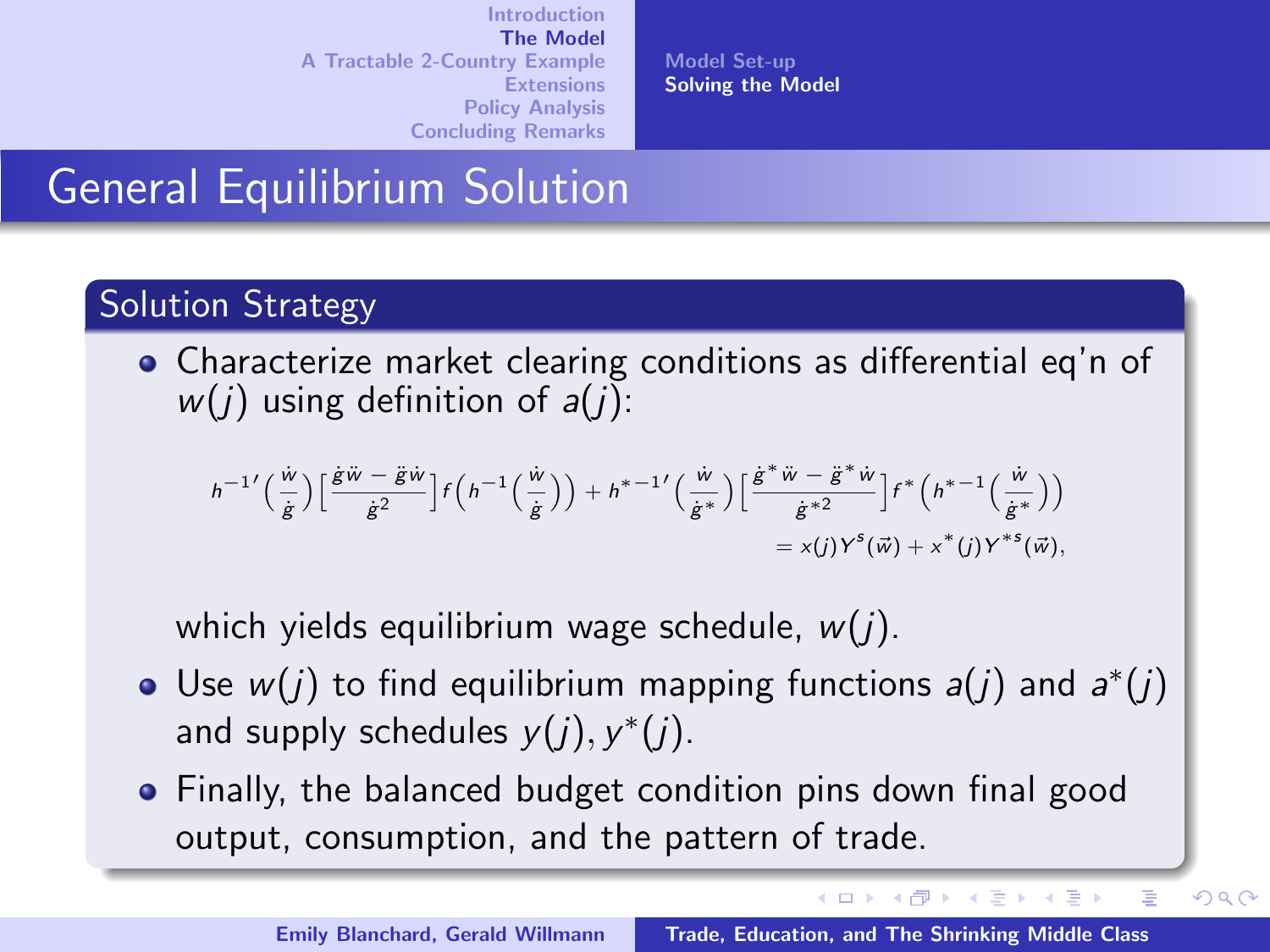[Model Set-up](#page-7-0) [Solving the Model](#page-9-0)

General Equilibrium Solution

### Solution Strategy

Characterize market clearing conditions as differential eq'n of  $w(i)$  using definition of  $a(i)$ :

$$
\begin{split} &h^{-1}{}'\Big(\frac{\dot{w}}{\dot{g}}\Big)\Big[\frac{\dot{g}\ddot{w}-\ddot{g}\dot{w}}{\dot{g}^2}\Big]f\Big(h^{-1}\Big(\frac{\dot{w}}{\dot{g}}\Big)\Big)+h^{*-1}{}'\Big(\frac{\dot{w}}{\dot{g}^*}\Big)\Big[\frac{\dot{g}^*\ddot{w}-\ddot{g}^*\dot{w}}{\dot{g}^{*2}}\Big]f^*\Big(h^{*-1}\Big(\frac{\dot{w}}{\dot{g}^*}\Big)\Big)\\ &=x(j)Y^{\tilde{s}}(\vec{w})+x^*(j)Y^{*s}(\vec{w}), \end{split}
$$

which yields equilibrium wage schedule,  $w(i)$ .

- Use  $w(j)$  to find equilibrium mapping functions  $a(j)$  and  $a^*(j)$ and supply schedules  $y(j), y^*(j)$ .
- Finally, the balanced budget condition pins down final good output, consumption, and the pattern of trade.

メロメ メ御 メメ ミメ メミメ

logo

<span id="page-13-0"></span> $2Q$ 

重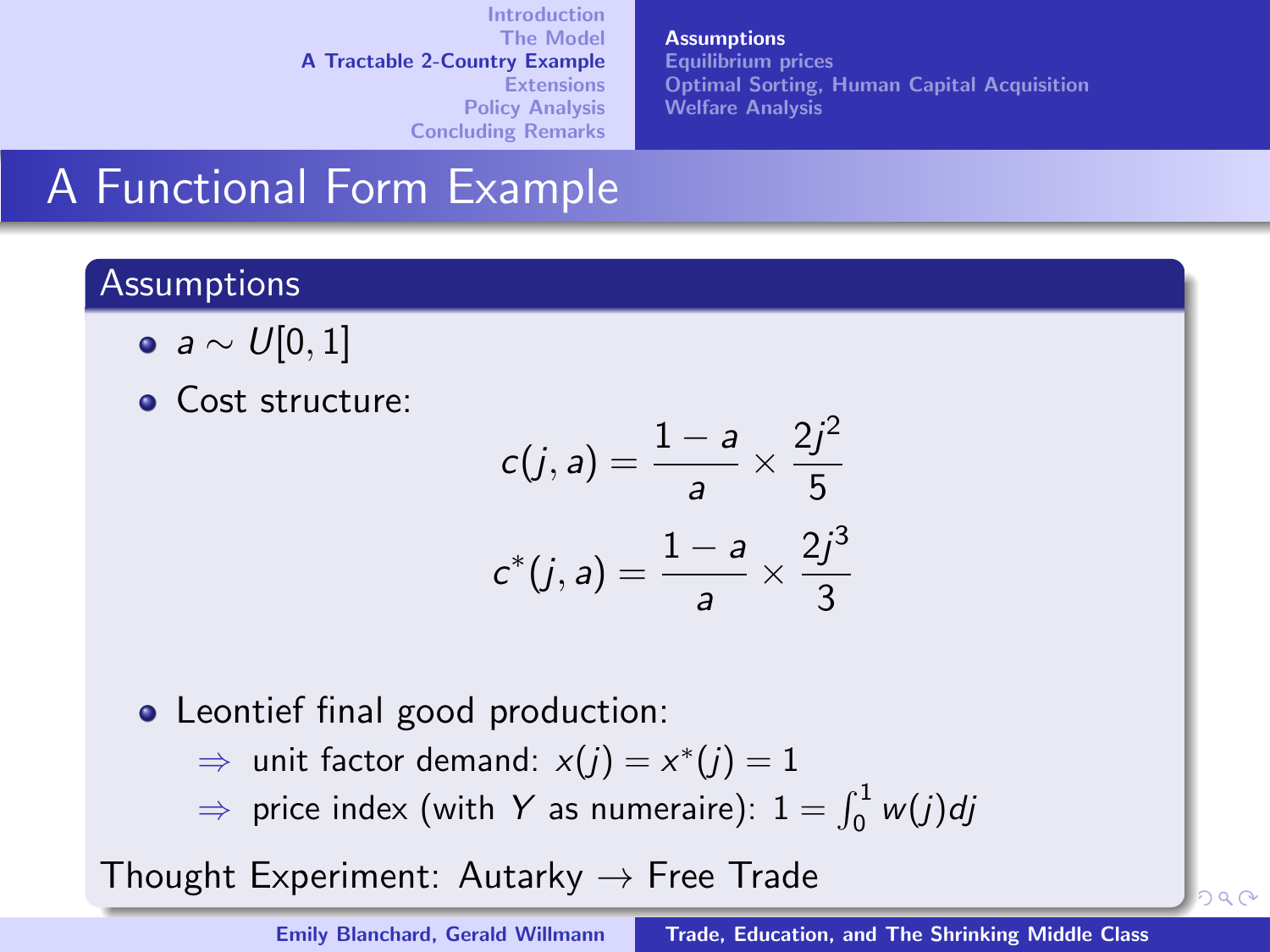**[Assumptions](#page-14-0)** [Equilibrium prices](#page-15-0) [Optimal Sorting, Human Capital Acquisition](#page-18-0) [Welfare Analysis](#page-21-0)

# A Functional Form Example

### **Assumptions**

- $a \sim U[0,1]$
- **Cost structure:**

$$
c(j, a) = \frac{1 - a}{a} \times \frac{2j^2}{5}
$$

$$
c^*(j, a) = \frac{1 - a}{a} \times \frac{2j^3}{3}
$$

- Leontief final good production:
	- $\Rightarrow$  unit factor demand:  $x(j) = x^*(j) = 1$
	- $\Rightarrow$  price index (with Y as numeraire):  $1 = \int_0^1 w(j) d j$

Thought Exp[e](#page-13-0)riment: Autarky  $\rightarrow$  Free Trade

<span id="page-14-0"></span>logo  $200$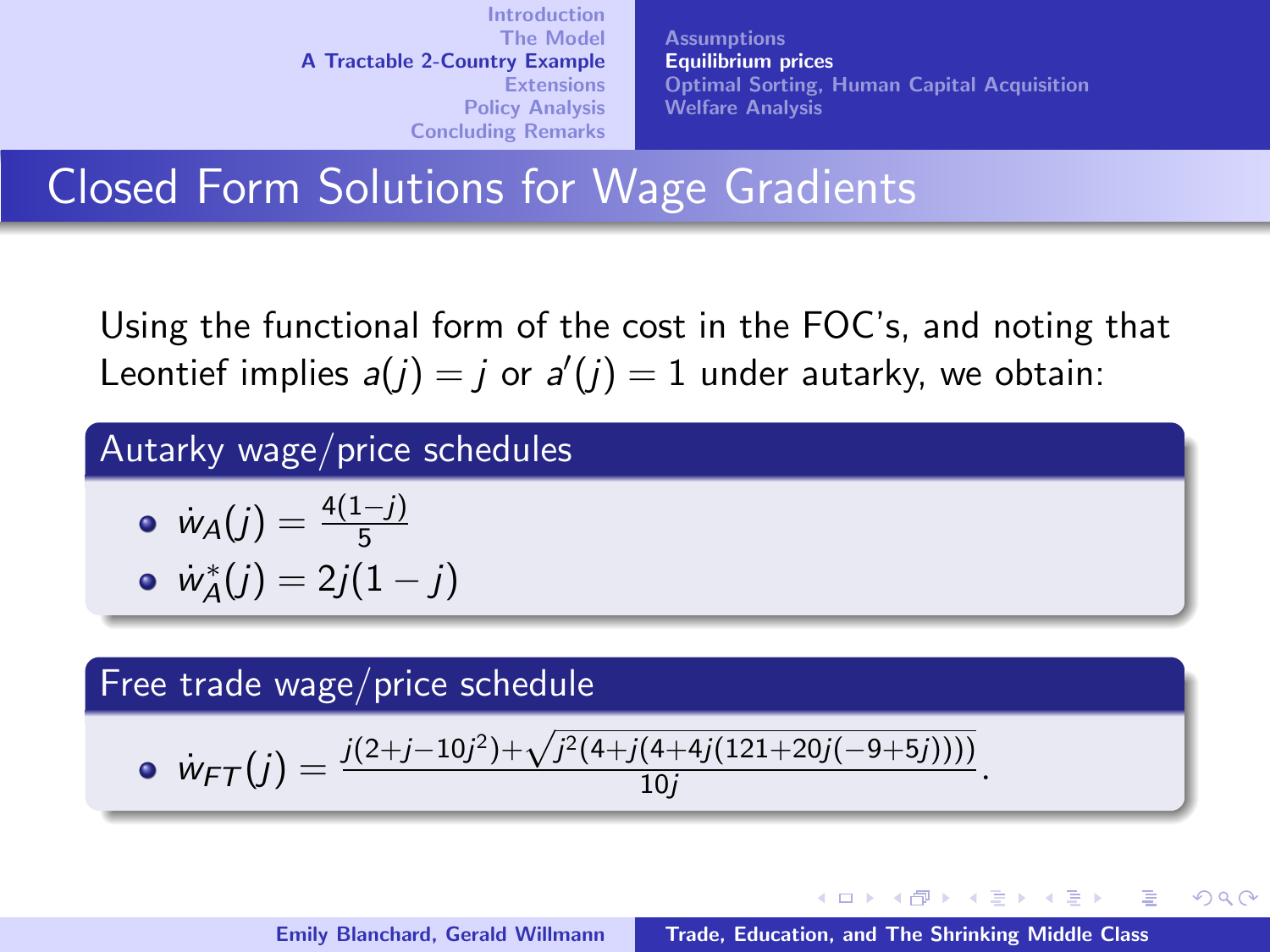**[Assumptions](#page-14-0)** [Equilibrium prices](#page-15-0) [Optimal Sorting, Human Capital Acquisition](#page-18-0) [Welfare Analysis](#page-21-0)

K ロ ⊁ K 倒 ≯ K ミ ⊁ K ミ ≯

<span id="page-15-0"></span> $2Q$ 

# Closed Form Solutions for Wage Gradients

Using the functional form of the cost in the FOC's, and noting that Leontief implies  $a(j) = j$  or  $a'(j) = 1$  under autarky, we obtain:

### Autarky wage/price schedules

$$
\bullet \ \dot{w}_A(j) = \frac{4(1-j)}{5}
$$

$$
\bullet \ \ \dot{w}_A^*(j) = 2j(1-j)
$$

#### Free trade wage/price schedule

• 
$$
\dot{w}_{FT}(j) = \frac{j(2+j-10j^2) + \sqrt{j^2(4+j(4+4j(121+20j(-9+5j))))}}{10j}.
$$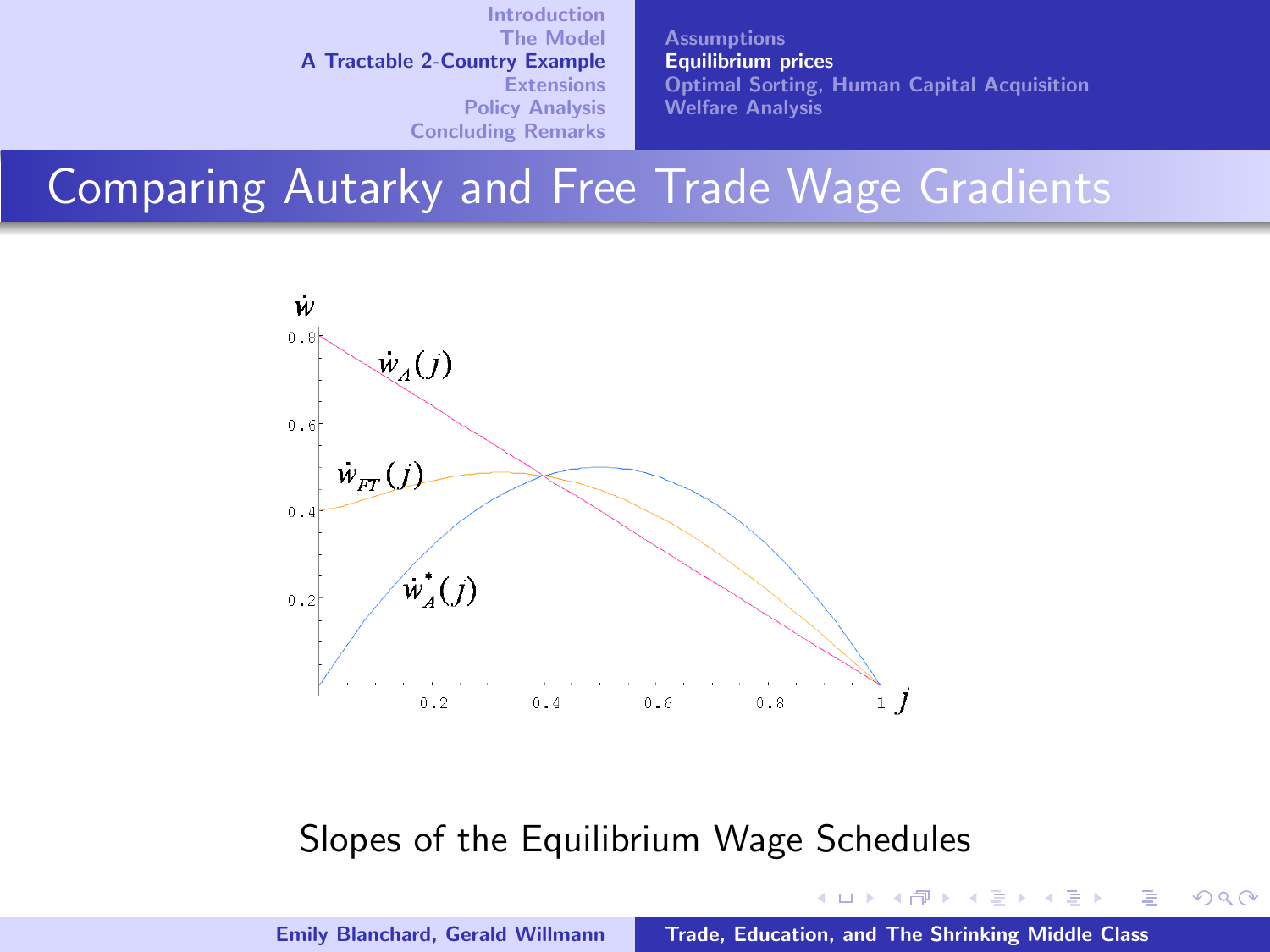**[Assumptions](#page-14-0)** [Equilibrium prices](#page-15-0) [Optimal Sorting, Human Capital Acquisition](#page-18-0) [Welfare Analysis](#page-21-0)

メロメ メ御 メメ ミメ メミメ

重

 $2Q$ 

# Comparing Autarky and Free Trade Wage Gradients



#### Slopes of the Equilibrium Wage Schedules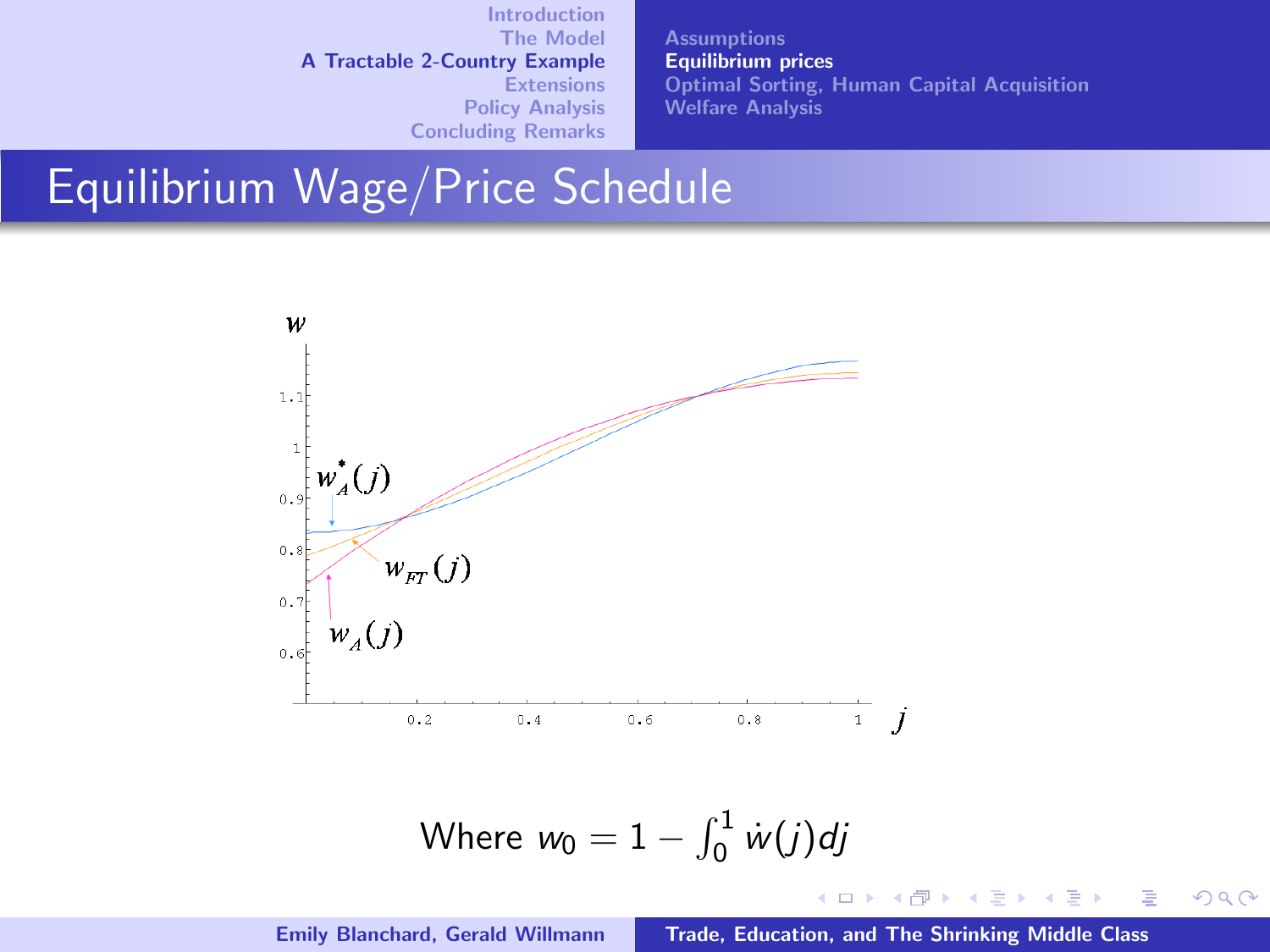**[Assumptions](#page-14-0)** [Equilibrium prices](#page-15-0) [Optimal Sorting, Human Capital Acquisition](#page-18-0) [Welfare Analysis](#page-21-0)

### Equilibrium Wage/Price Schedule



Where 
$$
w_0 = 1 - \int_0^1 \dot{w}(j) \, dj
$$

Emily Blanchard, Gerald Willmann **[Trade, Education, and The Shrinking Middle Class](#page-0-0)** 

 $\leftarrow$   $\Box$ 

→ 伊 → → 目

→ 重

 $\sim$ 

重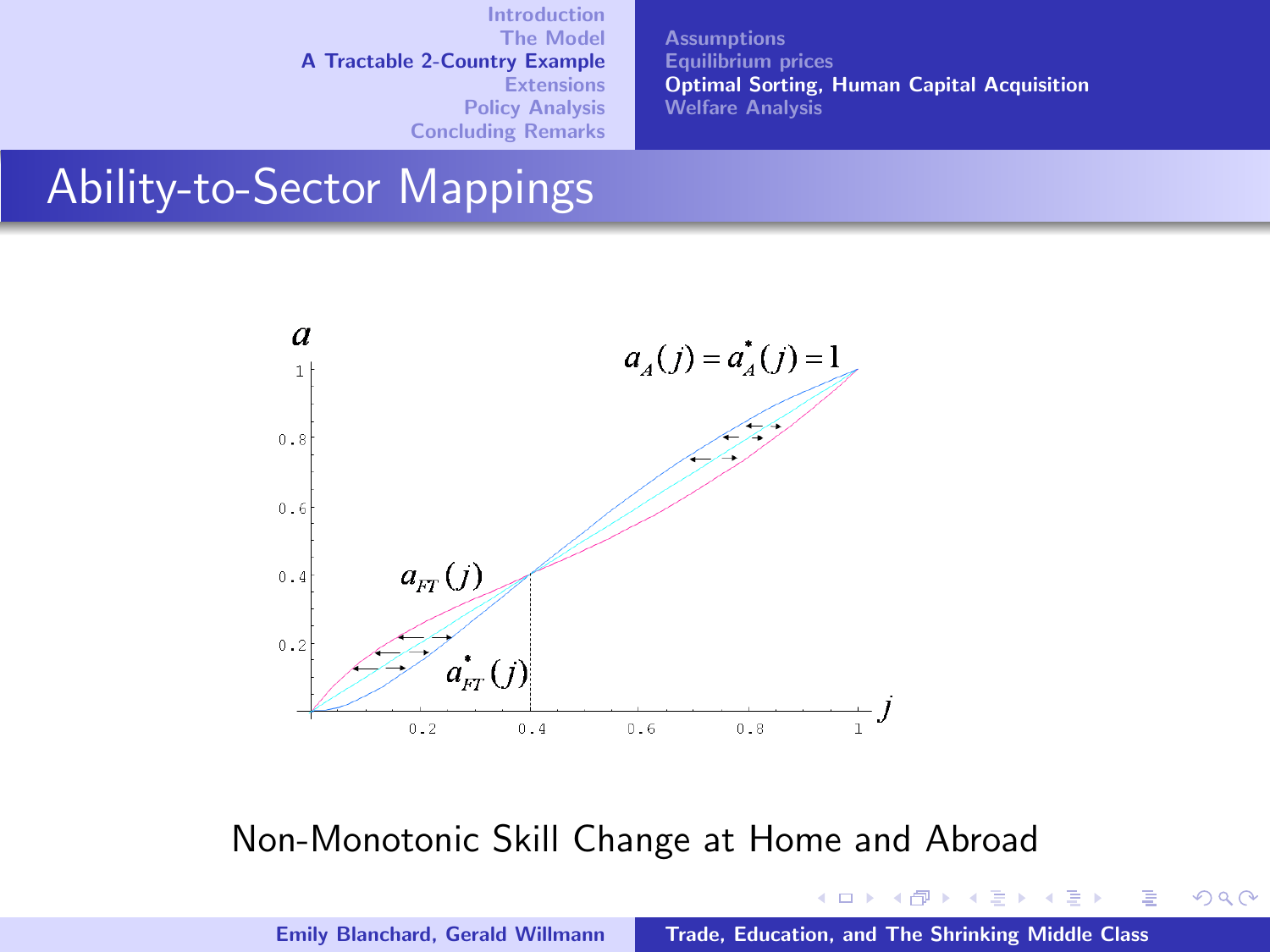**[Assumptions](#page-14-0)** [Equilibrium prices](#page-15-0) [Optimal Sorting, Human Capital Acquisition](#page-18-0) [Welfare Analysis](#page-21-0)

**K ロ ⊁ K 伊 ⊁ K 店** 

一 三

**IN** 

重

<span id="page-18-0"></span> $2Q$ 

### Ability-to-Sector Mappings



Non-Monotonic Skill Change at Home and Abroad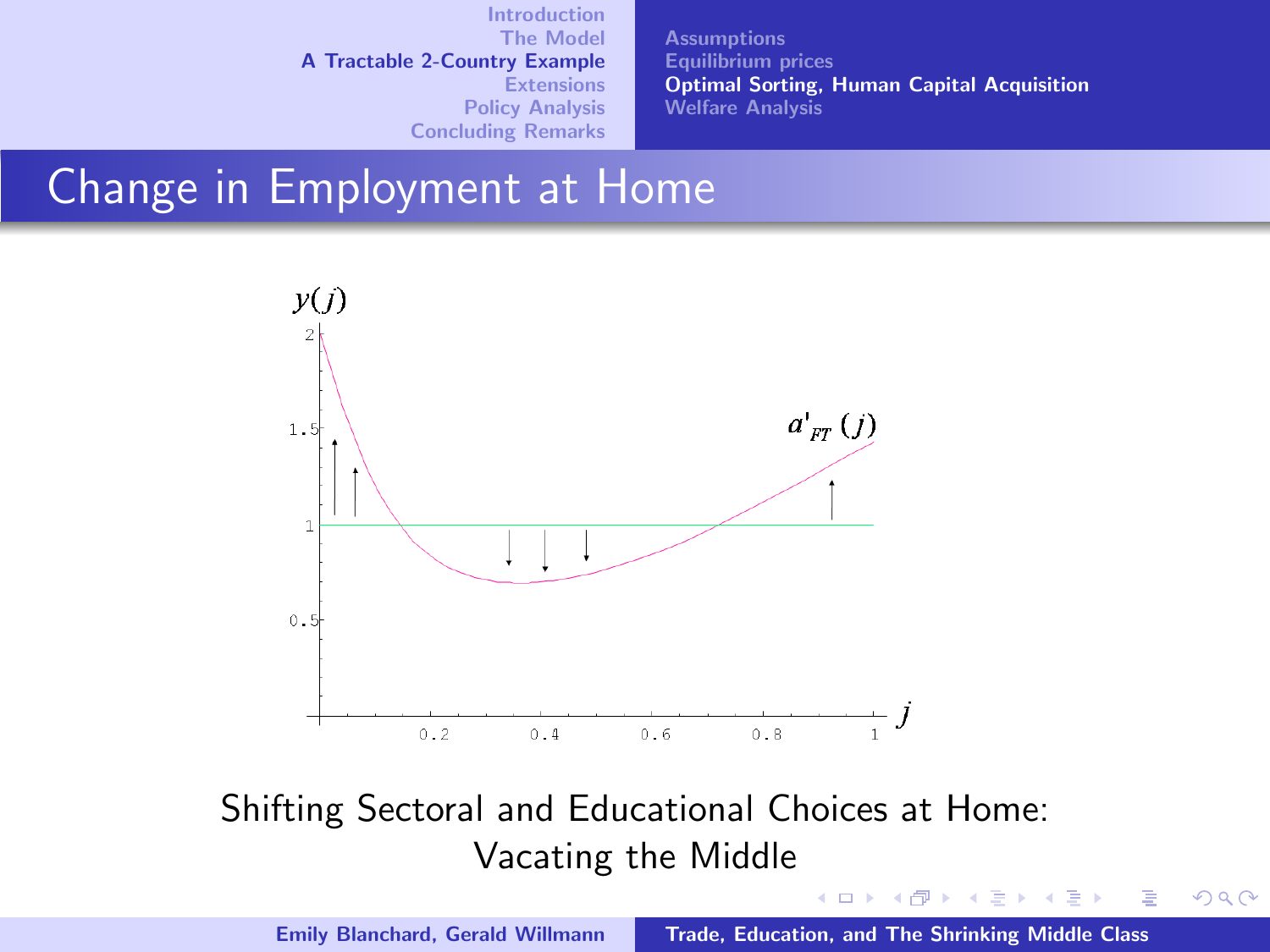**[Assumptions](#page-14-0)** [Equilibrium prices](#page-15-0) [Optimal Sorting, Human Capital Acquisition](#page-18-0) [Welfare Analysis](#page-21-0)

メロメ メ御 メメ ミメ メミメ

 $2Q$ 

扂

### Change in Employment at Home



Shifting Sectoral and Educational Choices at Home: Vacating the Middle

Emily Blanchard, Gerald Willmann **[Trade, Education, and The Shrinking Middle Class](#page-0-0)**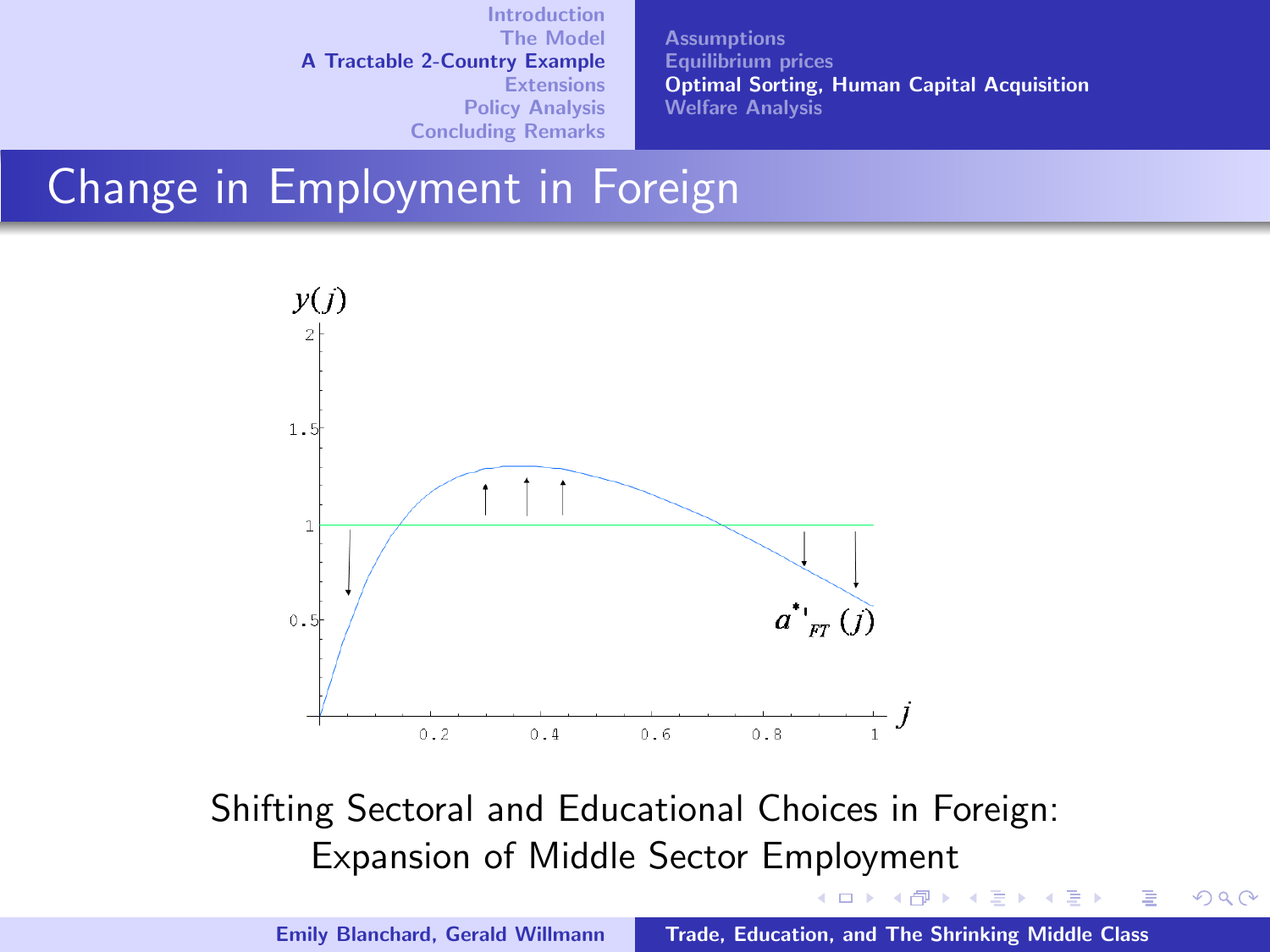**[Assumptions](#page-14-0)** [Equilibrium prices](#page-15-0) [Optimal Sorting, Human Capital Acquisition](#page-18-0) [Welfare Analysis](#page-21-0)

**K ロ ▶ K 伊 ▶** 

→ 唐→ 一 一 三  $2Q$ 

<span id="page-20-0"></span>扂

### Change in Employment in Foreign



### Shifting Sectoral and Educational Choices in Foreign: Expansion of Middle Sector Employment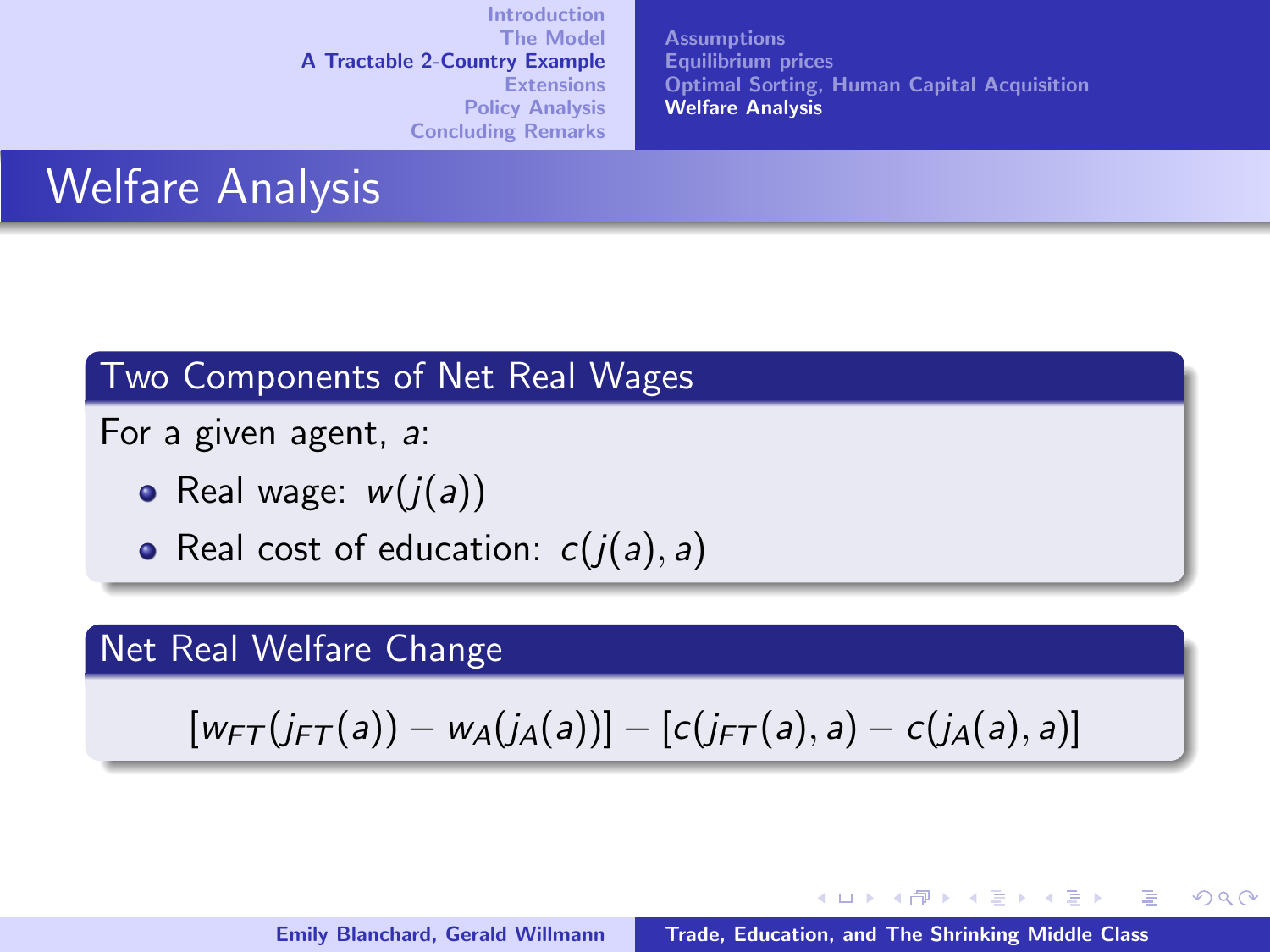**[Assumptions](#page-14-0)** [Equilibrium prices](#page-15-0) [Optimal Sorting, Human Capital Acquisition](#page-18-0) [Welfare Analysis](#page-21-0)

K ロ ⊁ K 倒 ≯ K ミ ⊁ K ミ ≯

 $2Q$ 

<span id="page-21-0"></span>唾

# Welfare Analysis

Two Components of Net Real Wages

For a given agent, a:

- Real wage:  $w(j(a))$
- Real cost of education:  $c(j(a), a)$

### Net Real Welfare Change

$$
[w_{FT}(j_{FT}(a))-w_A(j_A(a))]-[c(j_{FT}(a),a)-c(j_A(a),a)]
$$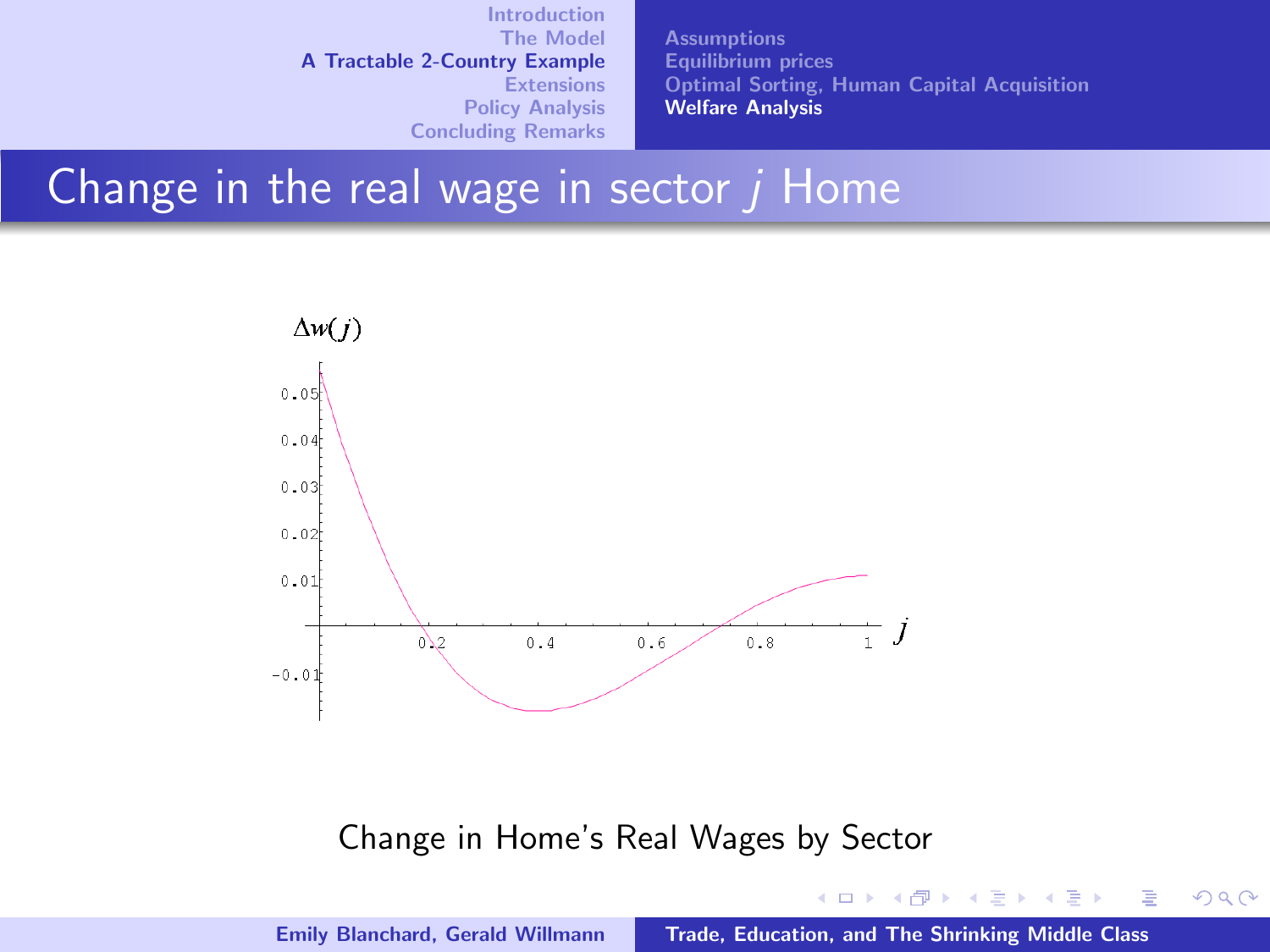**[Assumptions](#page-14-0)** [Equilibrium prices](#page-15-0) [Optimal Sorting, Human Capital Acquisition](#page-18-0) [Welfare Analysis](#page-21-0)

メロメ メ御 メメ ミメ メミメ

重

 $2Q$ 

Change in the real wage in sector  *Home* 



Change in Home's Real Wages by Sector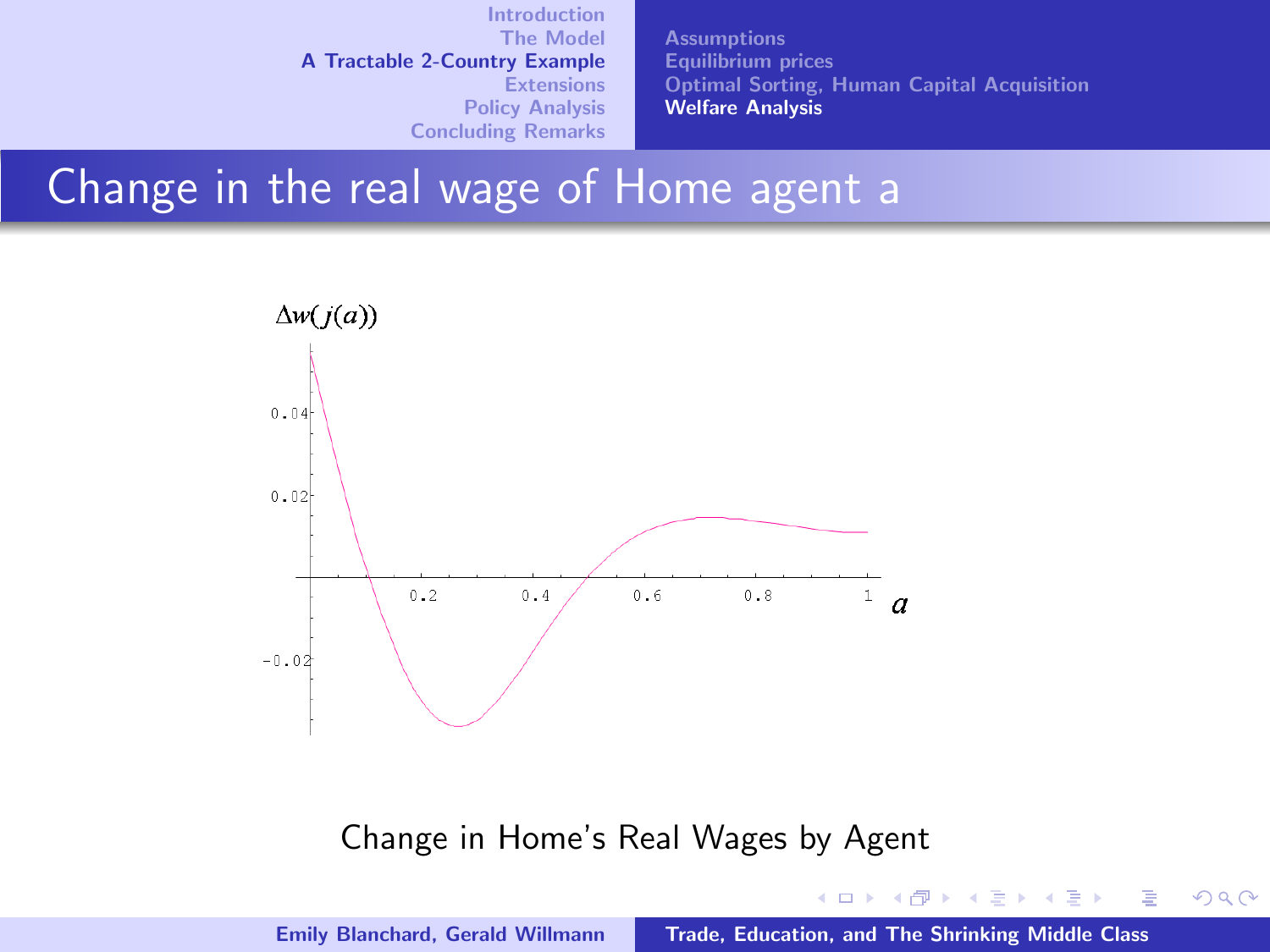**[Assumptions](#page-14-0)** [Equilibrium prices](#page-15-0) [Optimal Sorting, Human Capital Acquisition](#page-18-0) [Welfare Analysis](#page-21-0)

メロメ メ御 メメ ミメ メミメ

重

 $2Q$ 

### Change in the real wage of Home agent a



#### Change in Home's Real Wages by Agent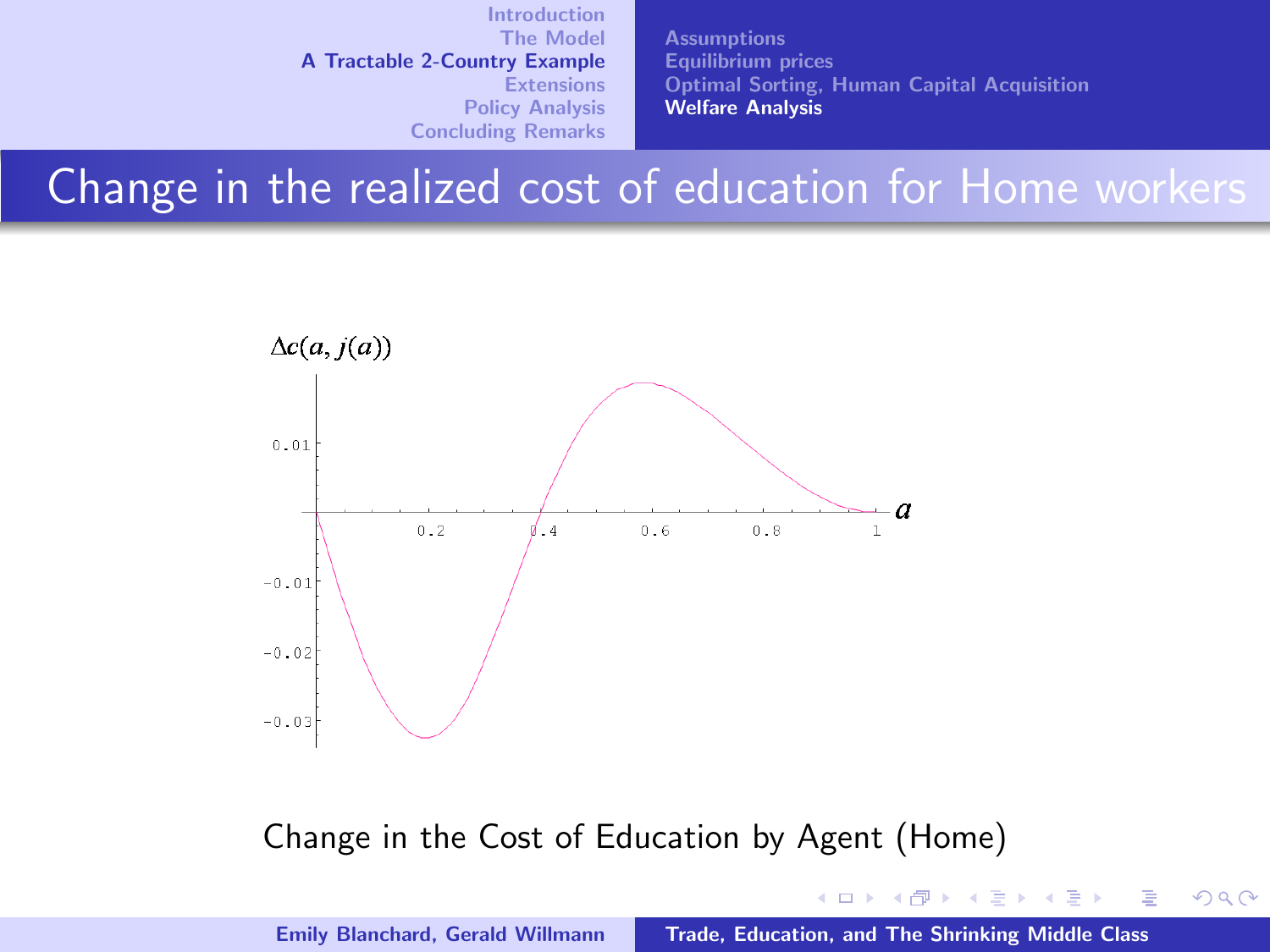**[Assumptions](#page-14-0)** [Equilibrium prices](#page-15-0) [Optimal Sorting, Human Capital Acquisition](#page-18-0) [Welfare Analysis](#page-21-0)

メロメ メ御 メメ ミメ メミメ

重

 $2Q$ 

## Change in the realized cost of education for Home workers



Change in the Cost of Education by Agent (Home)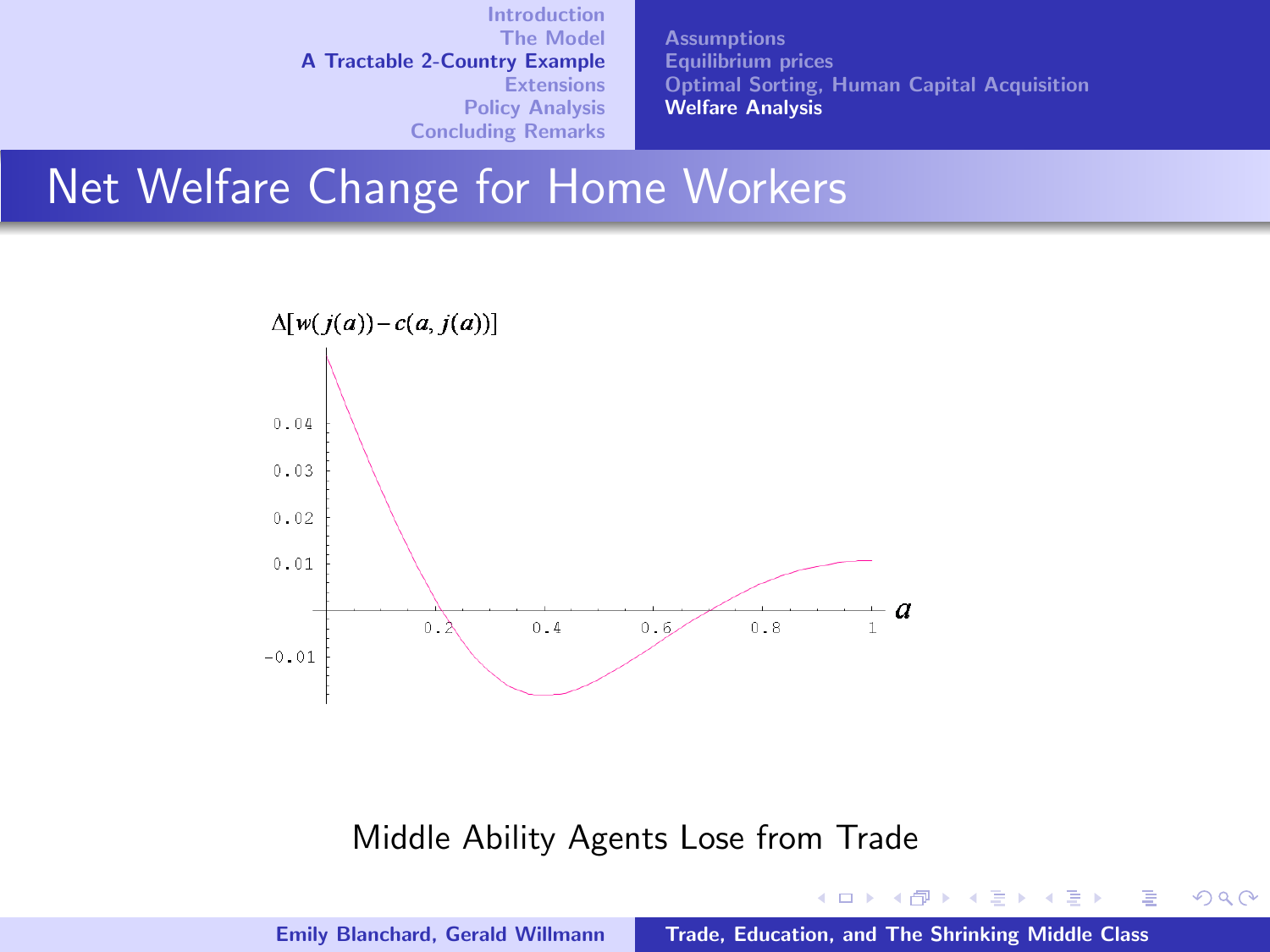**[Assumptions](#page-14-0)** [Equilibrium prices](#page-15-0) [Optimal Sorting, Human Capital Acquisition](#page-18-0) [Welfare Analysis](#page-21-0)

メロメ メ御 メメ ミメ メミメ

重

 $2Q$ 

### Net Welfare Change for Home Workers



#### Middle Ability Agents Lose from Trade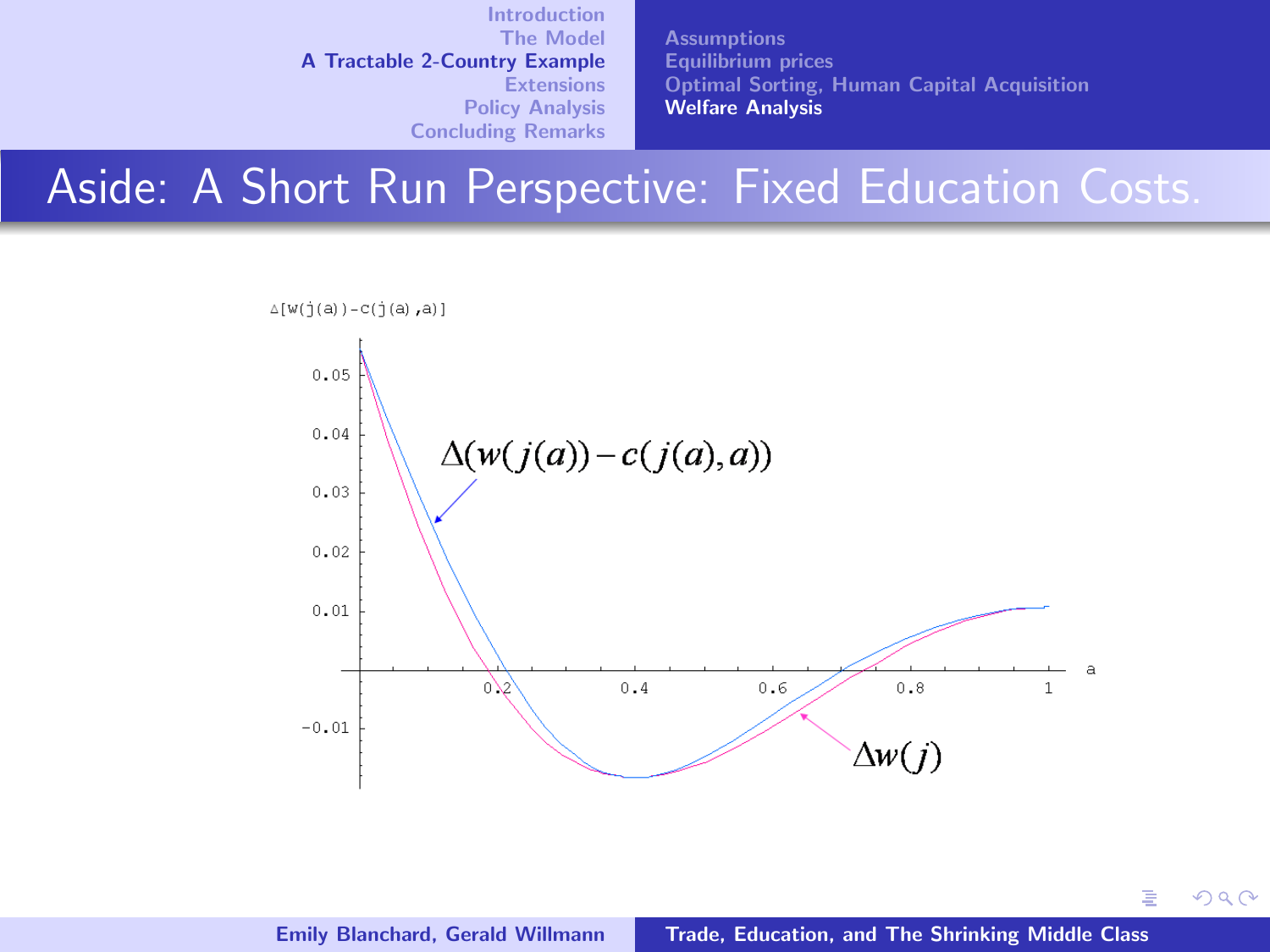**[Assumptions](#page-14-0)** [Equilibrium prices](#page-15-0) [Optimal Sorting, Human Capital Acquisition](#page-18-0) [Welfare Analysis](#page-21-0)

ă

 $2Q$ 

### Aside: A Short Run Perspective: Fixed Education Costs.

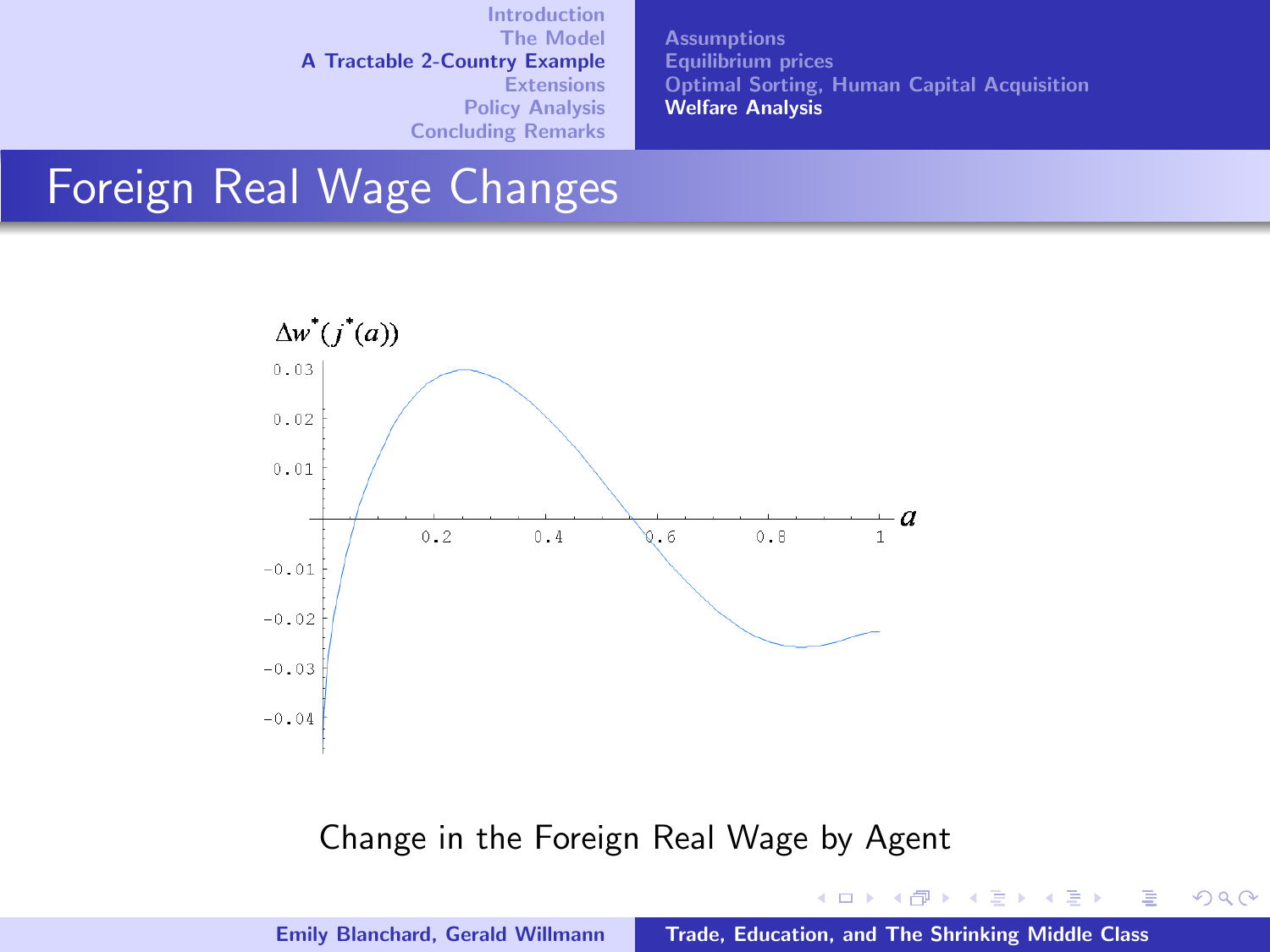**[Assumptions](#page-14-0)** [Equilibrium prices](#page-15-0) [Optimal Sorting, Human Capital Acquisition](#page-18-0) [Welfare Analysis](#page-21-0)

イロト イ押 トイモト イモト

重

 $2Q$ 

### Foreign Real Wage Changes



#### Change in the Foreign Real Wage by Agent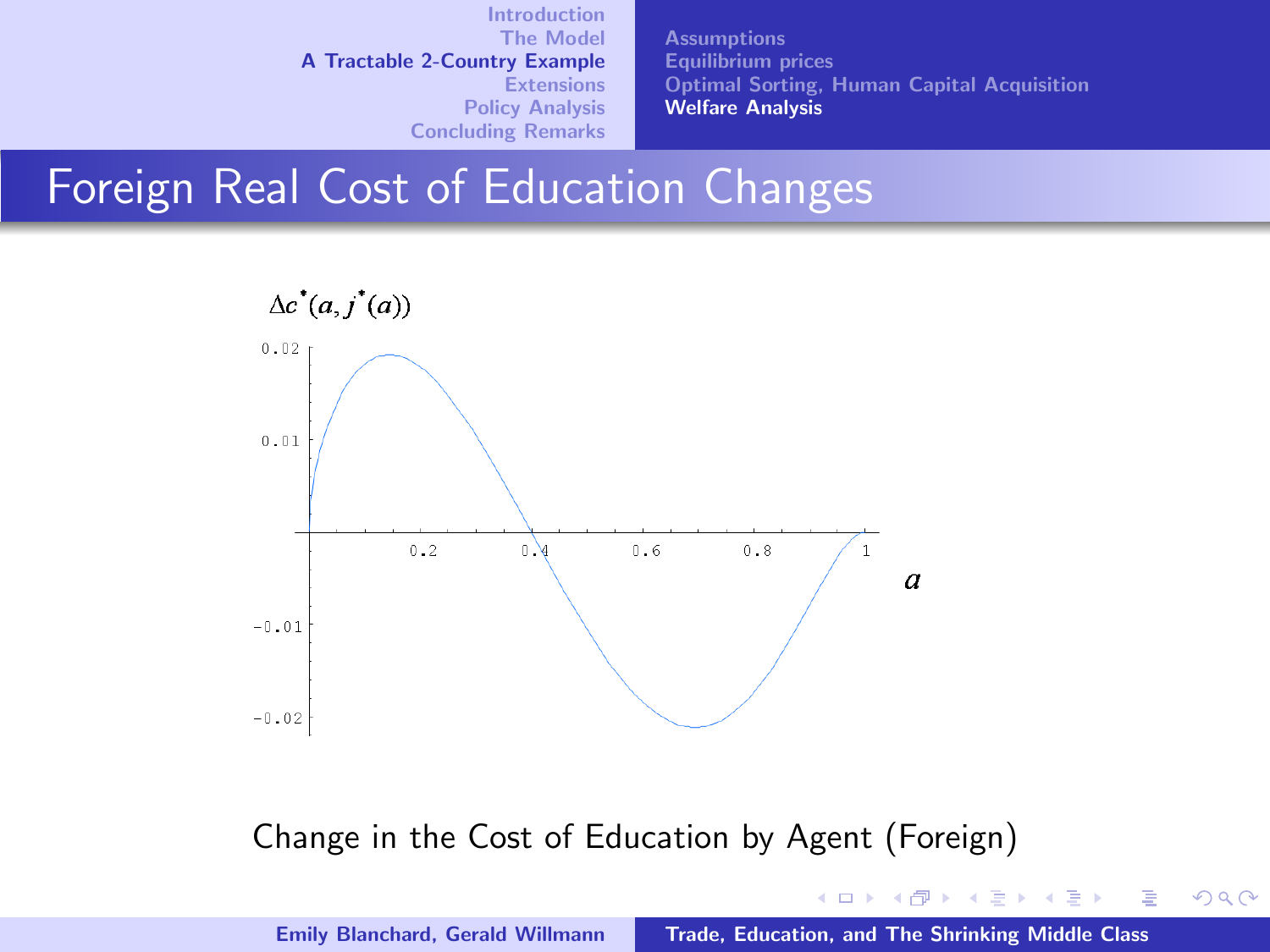**[Assumptions](#page-14-0)** [Equilibrium prices](#page-15-0) [Optimal Sorting, Human Capital Acquisition](#page-18-0) [Welfare Analysis](#page-21-0)

**K ロ ト K 倒 ト K ミ ト** 

一( 話)

重

 $2Q$ 

### Foreign Real Cost of Education Changes



Change in the Cost of Education by Agent (Foreign)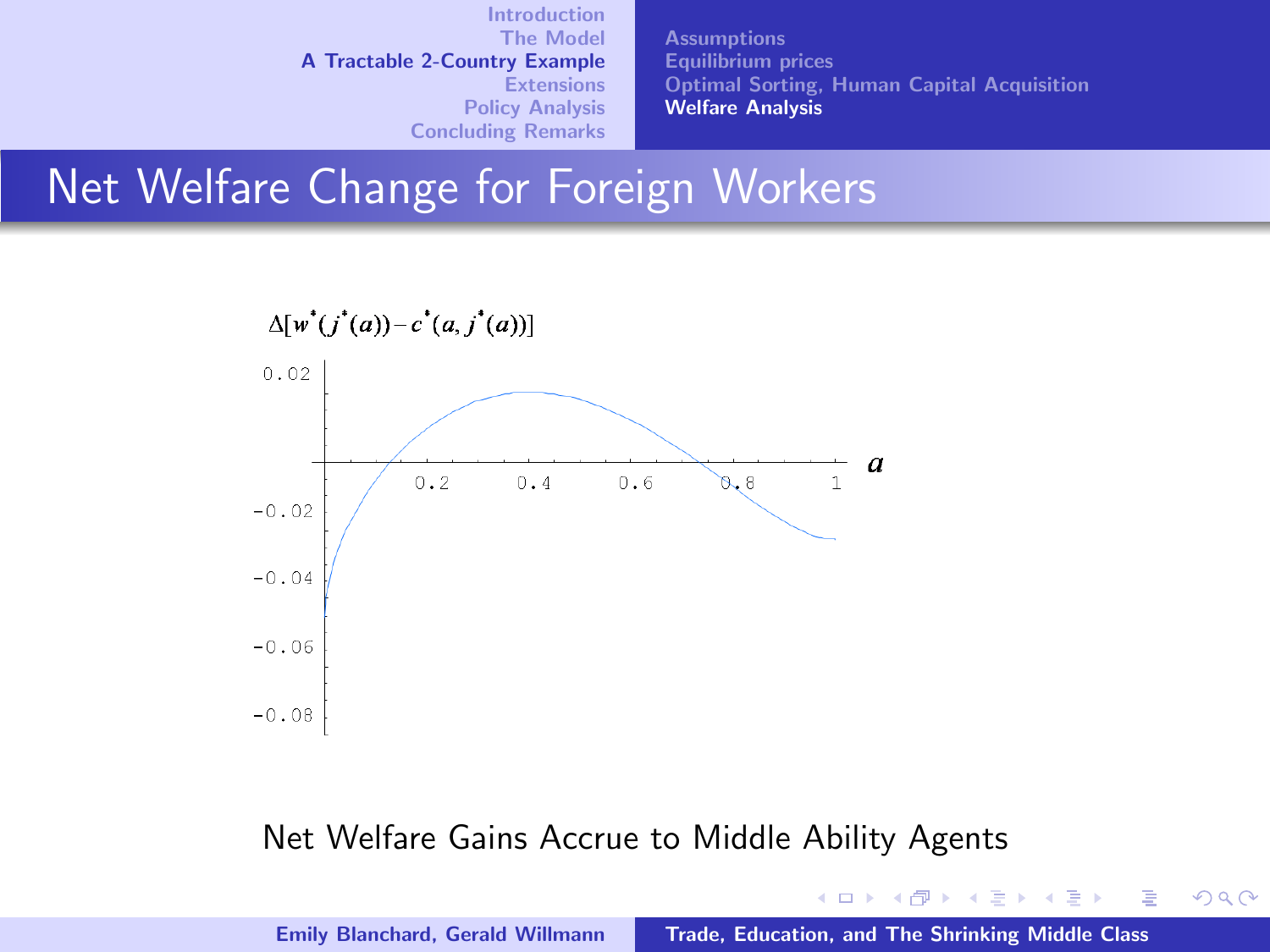**[Assumptions](#page-14-0)** [Equilibrium prices](#page-15-0) [Optimal Sorting, Human Capital Acquisition](#page-18-0) [Welfare Analysis](#page-21-0)

イロト イ押 トイモト イモト

重

 $2Q$ 

### Net Welfare Change for Foreign Workers



#### Net Welfare Gains Accrue to Middle Ability Agents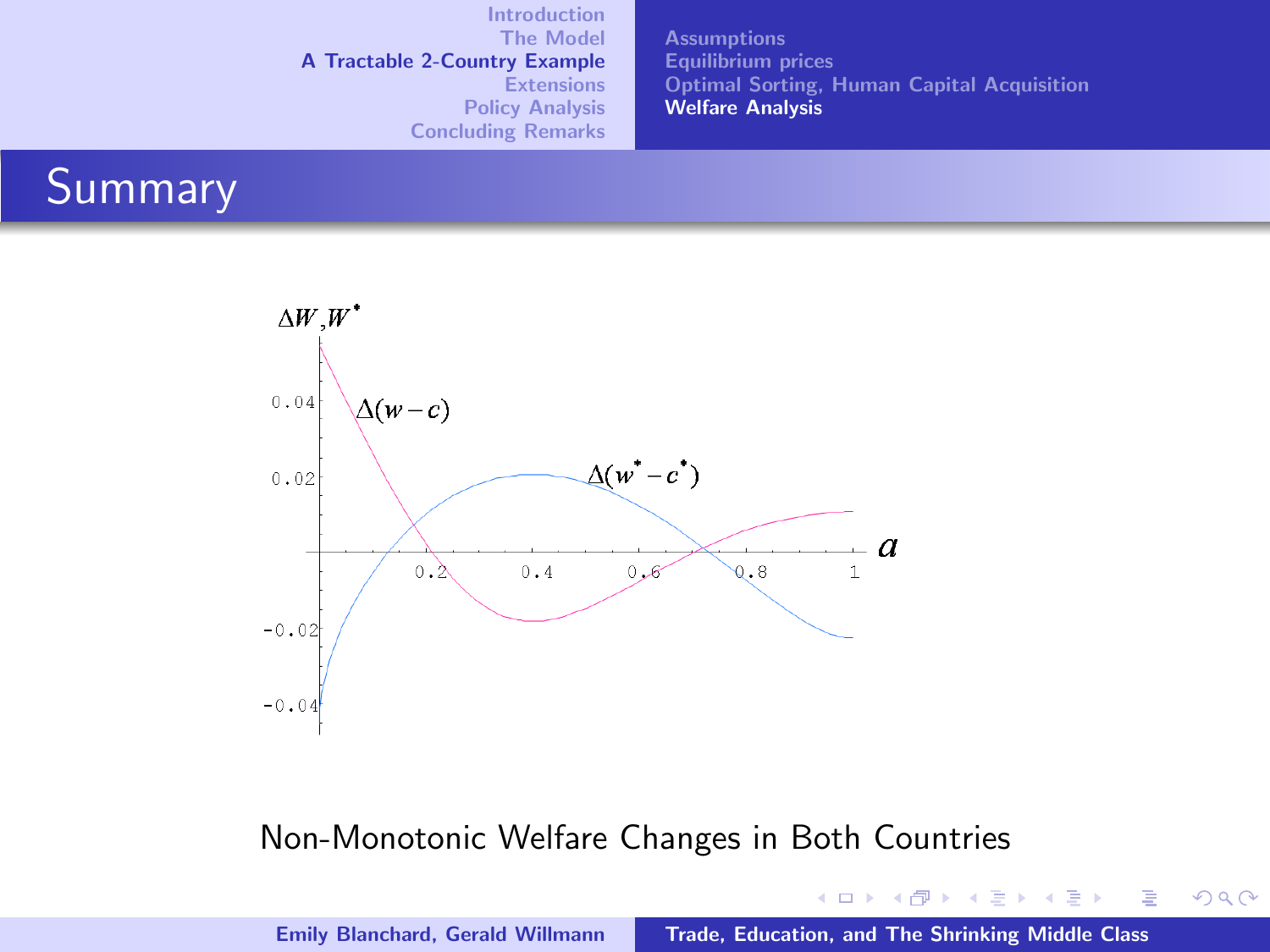| Introduction                         |
|--------------------------------------|
| <b>The Model</b>                     |
| <b>A Tractable 2-Country Example</b> |
| <b>Extensions</b>                    |
| <b>Policy Analysis</b>               |
| <b>Concluding Remarks</b>            |

**[Assumptions](#page-14-0)** [Equilibrium prices](#page-15-0) [Optimal Sorting, Human Capital Acquisition](#page-18-0) [Welfare Analysis](#page-21-0)

イロト イ押 トイモト イモト

造

<span id="page-30-0"></span> $2Q$ 

### Summary



#### Non-Monotonic Welfare Changes in Both Countries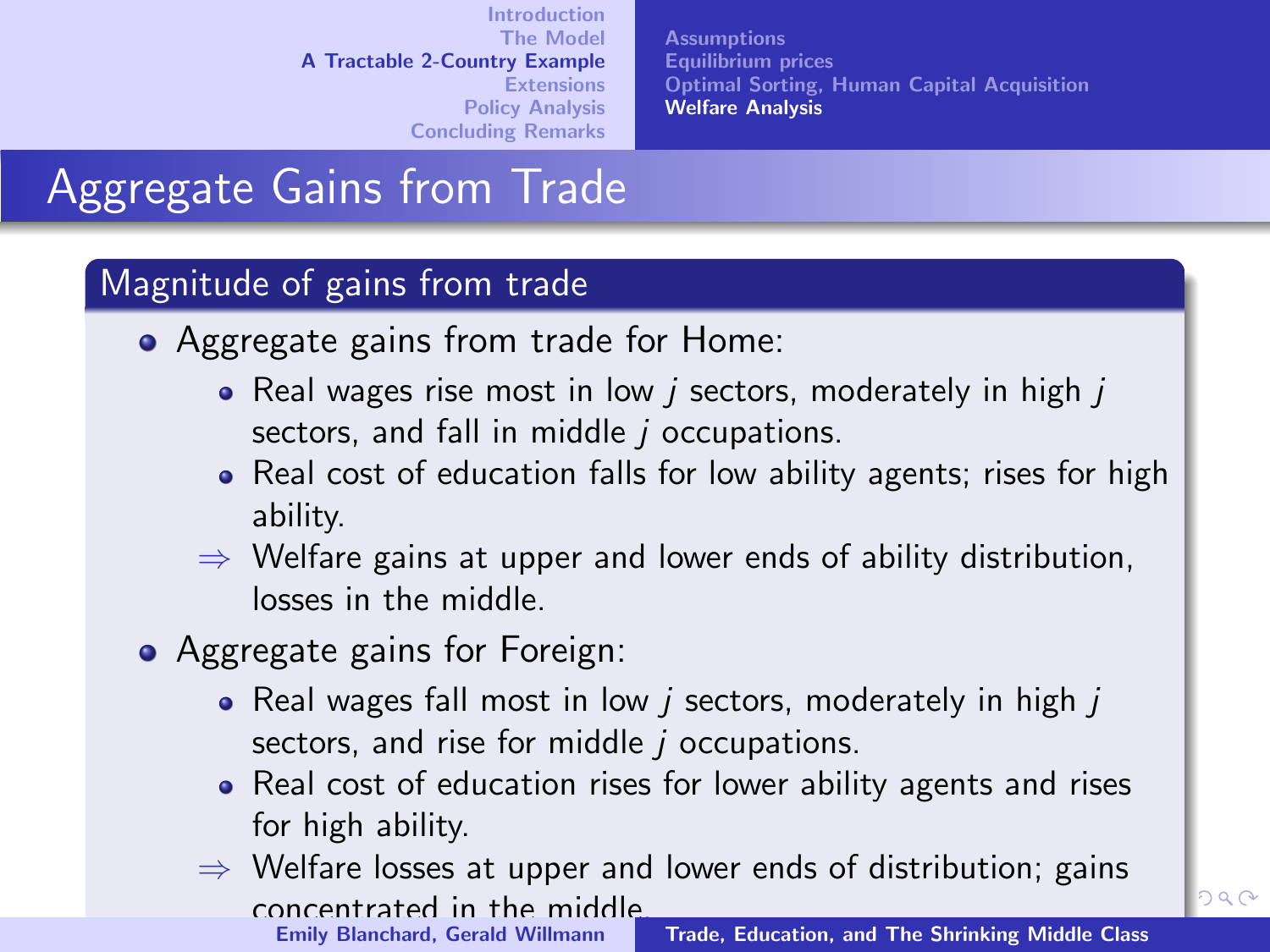**[Assumptions](#page-14-0)** [Equilibrium prices](#page-15-0) [Optimal Sorting, Human Capital Acquisition](#page-18-0) [Welfare Analysis](#page-21-0)

# Aggregate Gains from Trade

### Magnitude of gains from trade

- Aggregate gains from trade for Home:
	- Real wages rise most in low  *sectors, moderately in high*  $*j*$ sectors, and fall in middle *j* occupations.
	- Real cost of education falls for low ability agents; rises for high ability.
	- $\Rightarrow$  Welfare gains at upper and lower ends of ability distribution, losses in the middle.
- Aggregate gains for Foreign:
	- $\bullet$  Real wages fall most in low *j* sectors, moderately in high *j* sectors, and rise for middle  $j$  occupations.
	- Real cost of education rises for lower ability agents and rises for high ability.
	- $\Rightarrow$  $\Rightarrow$  $\Rightarrow$  Welfare losses at upper and lower end[s o](#page-30-0)f [d](#page-32-0)[is](#page-30-0)[tri](#page-31-0)[b](#page-32-0)[u](#page-20-0)[ti](#page-21-0)o[n](#page-32-0)[;](#page-13-0) [g](#page-14-0)[a](#page-31-0)[in](#page-32-0)[s](#page-0-0) concentrated in the middle<br>**Emily Blanchard, Gerald Willmann**

<span id="page-31-0"></span>logo วจด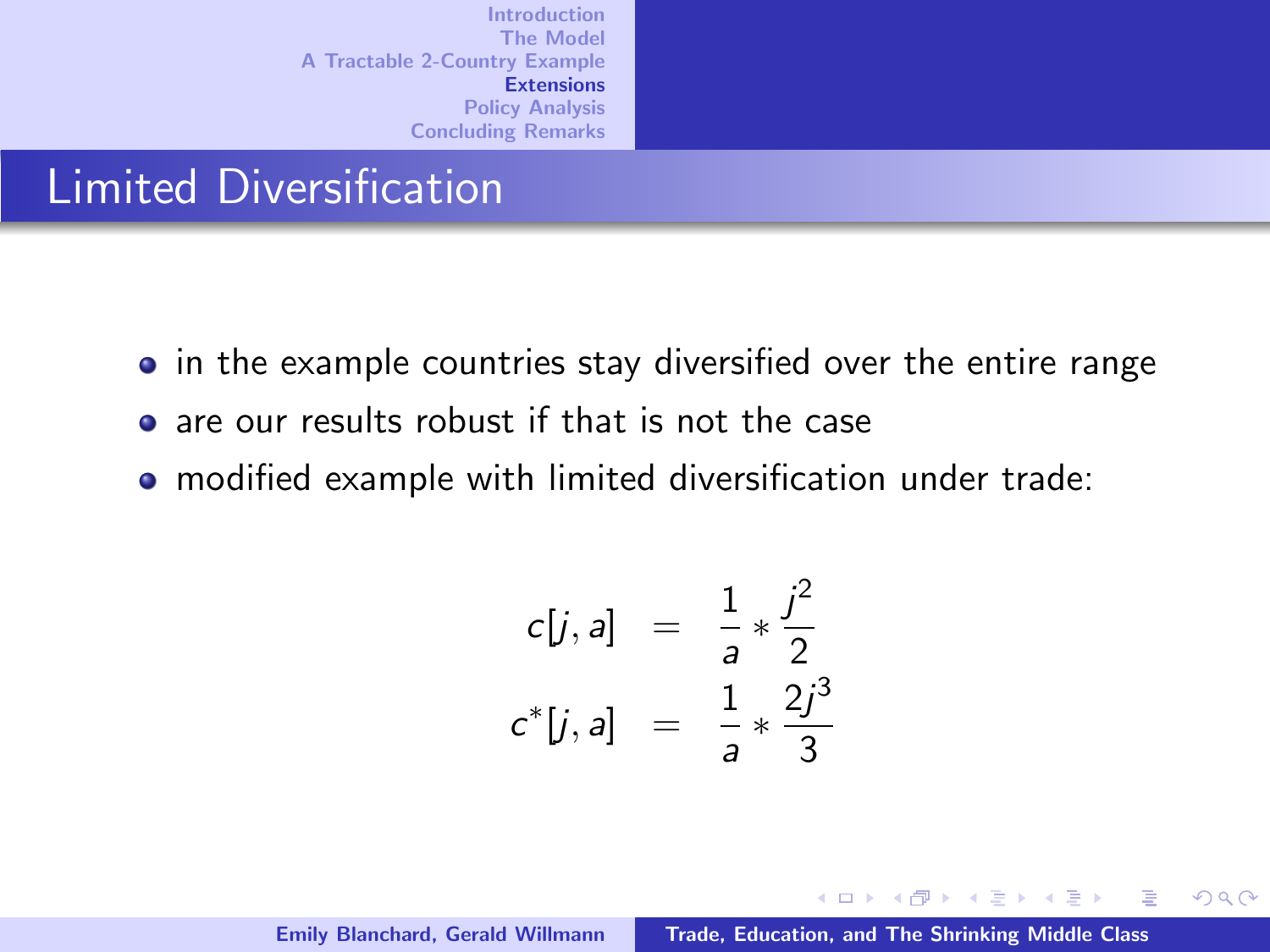### Limited Diversification

- in the example countries stay diversified over the entire range
- are our results robust if that is not the case
- modified example with limited diversification under trade:

$$
c[j, a] = \frac{1}{a} * \frac{j^2}{2}
$$
  

$$
c^*[j, a] = \frac{1}{a} * \frac{2j^3}{3}
$$

K ロ ⊁ K 倒 ≯ K ミ ⊁ K ミ ≯

 $2Q$ 

<span id="page-32-0"></span>唾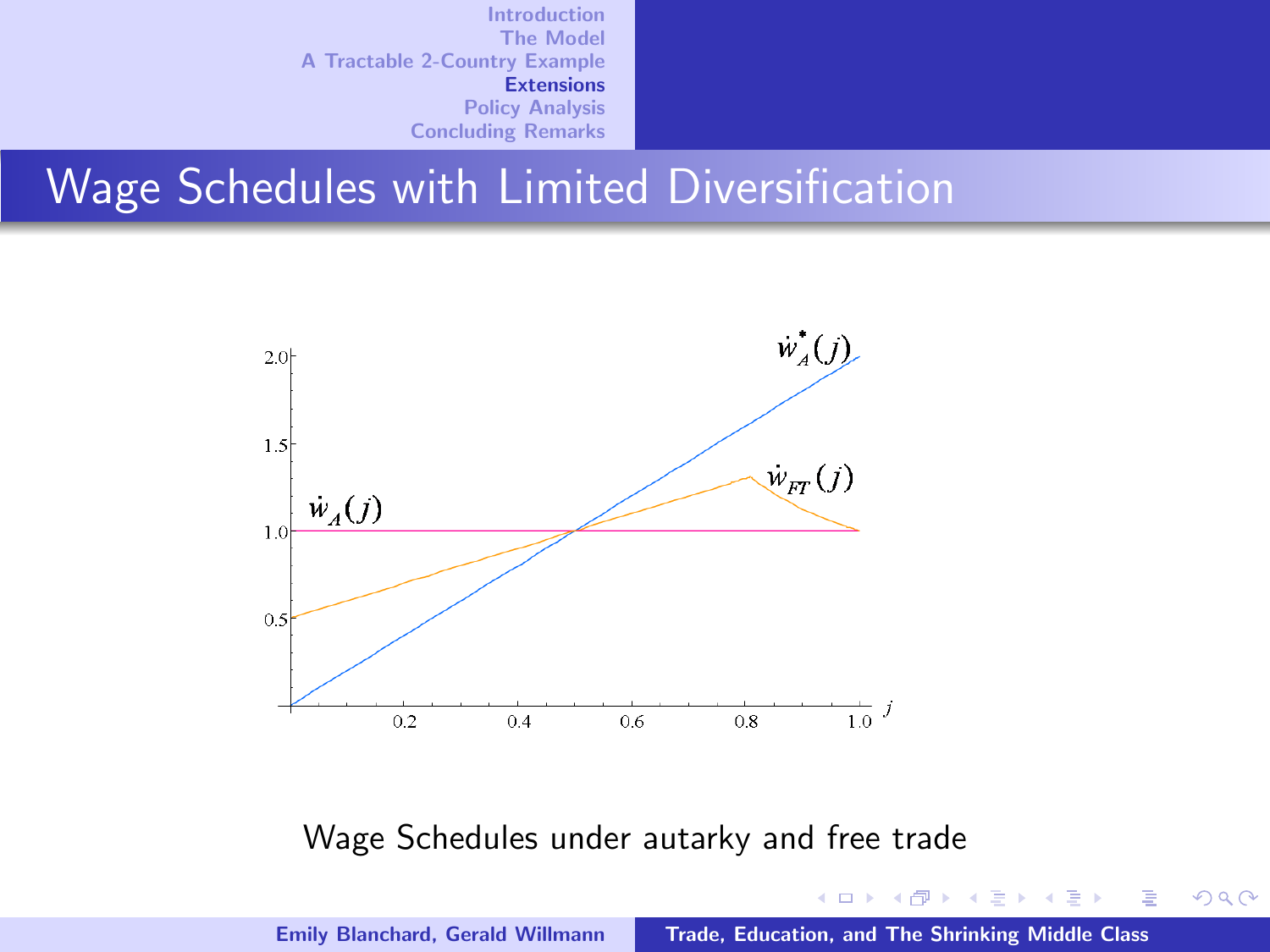### Wage Schedules with Limited Diversification



#### Wage Schedules under autarky and free trade

メロメ メ御 メメ ミメ メミメ

重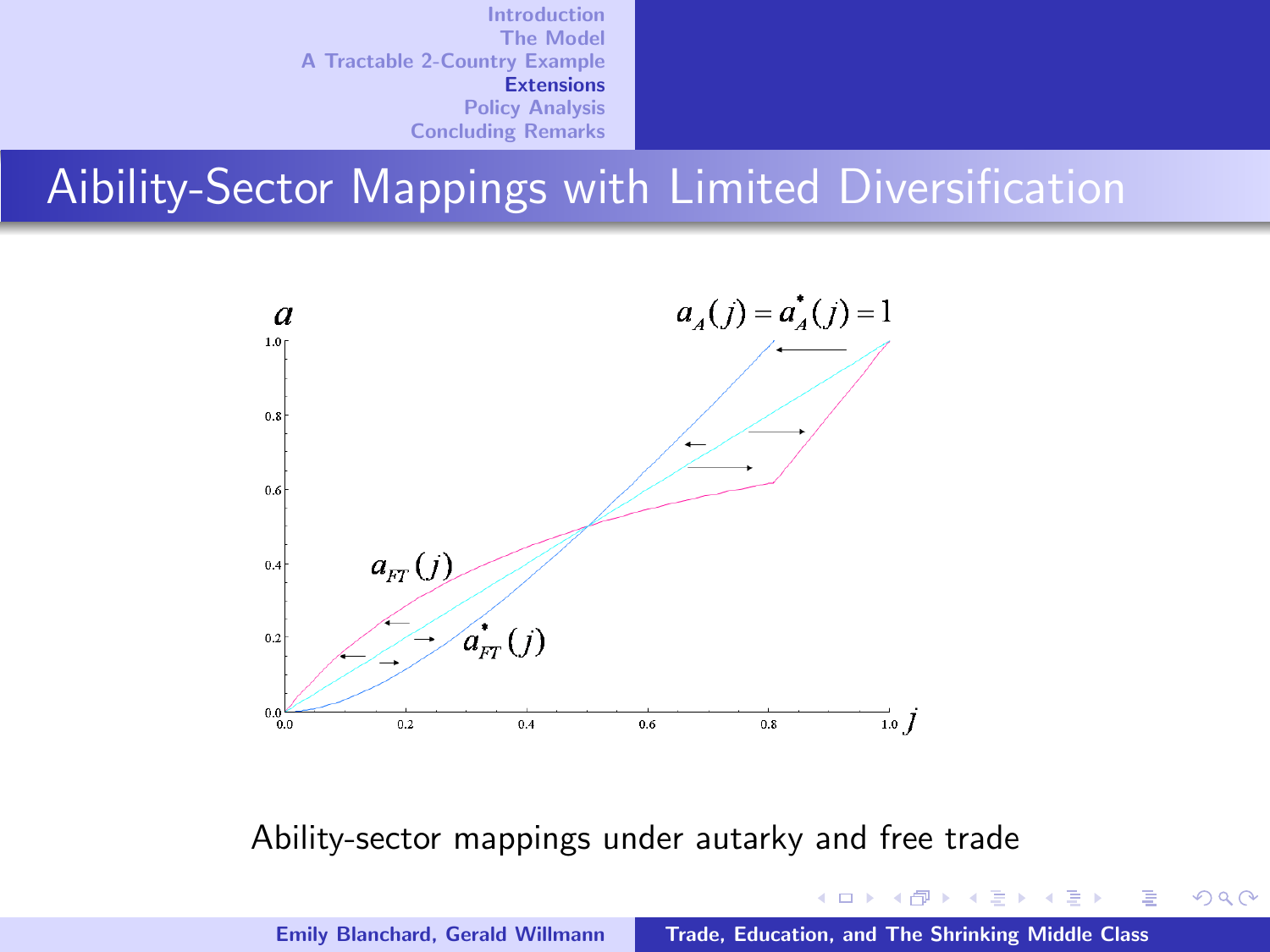# Aibility-Sector Mappings with Limited Diversification



Ability-sector mappings under autarky and free trade

イロメ イタメ イラメ

一( 話)

重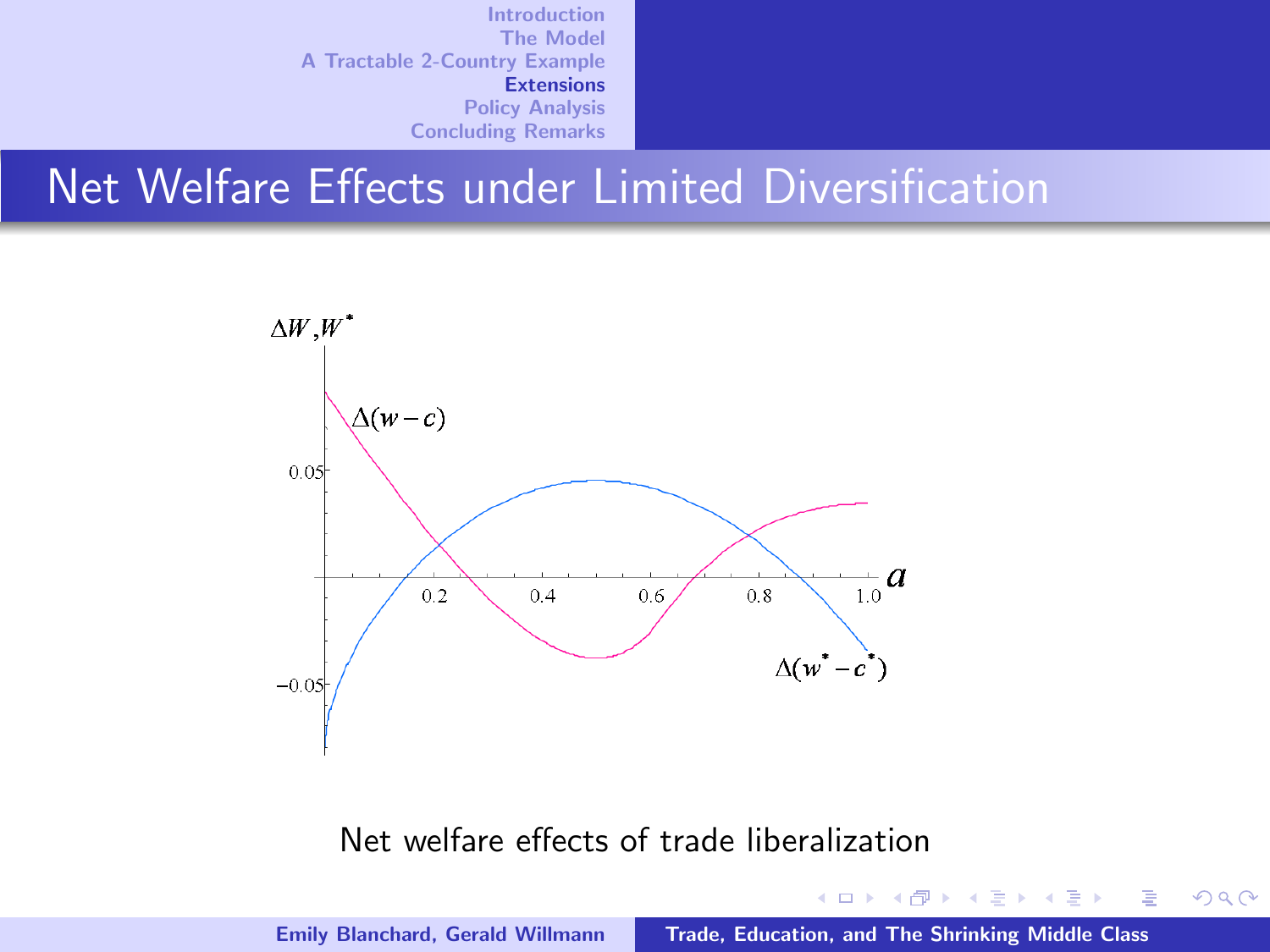### Net Welfare Effects under Limited Diversification



#### Net welfare effects of trade liberalization

イロメ イ御メ イヨメ イヨメ

重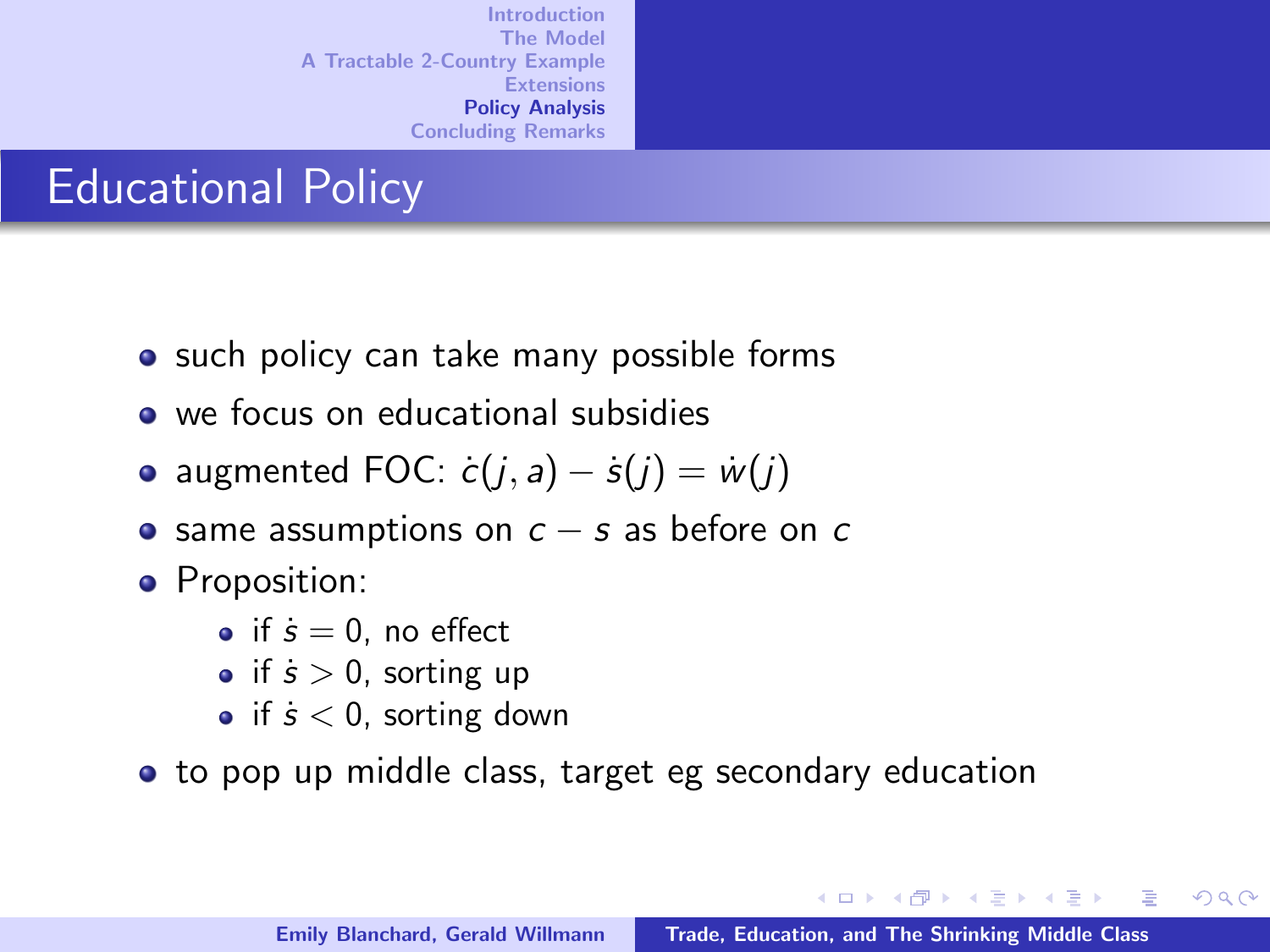# Educational Policy

- such policy can take many possible forms
- we focus on educational subsidies
- augmented FOC:  $\dot{c}(i, a) \dot{s}(i) = \dot{w}(i)$
- same assumptions on  $c s$  as before on c
- Proposition:
	- if  $\dot{s} = 0$ , no effect
	- if  $\dot{s} > 0$ , sorting up
	- if  $\dot{s}$  < 0, sorting down
- to pop up middle class, target eg secondary education

メロメ メタメ メモメ メモメ

<span id="page-36-0"></span>つくい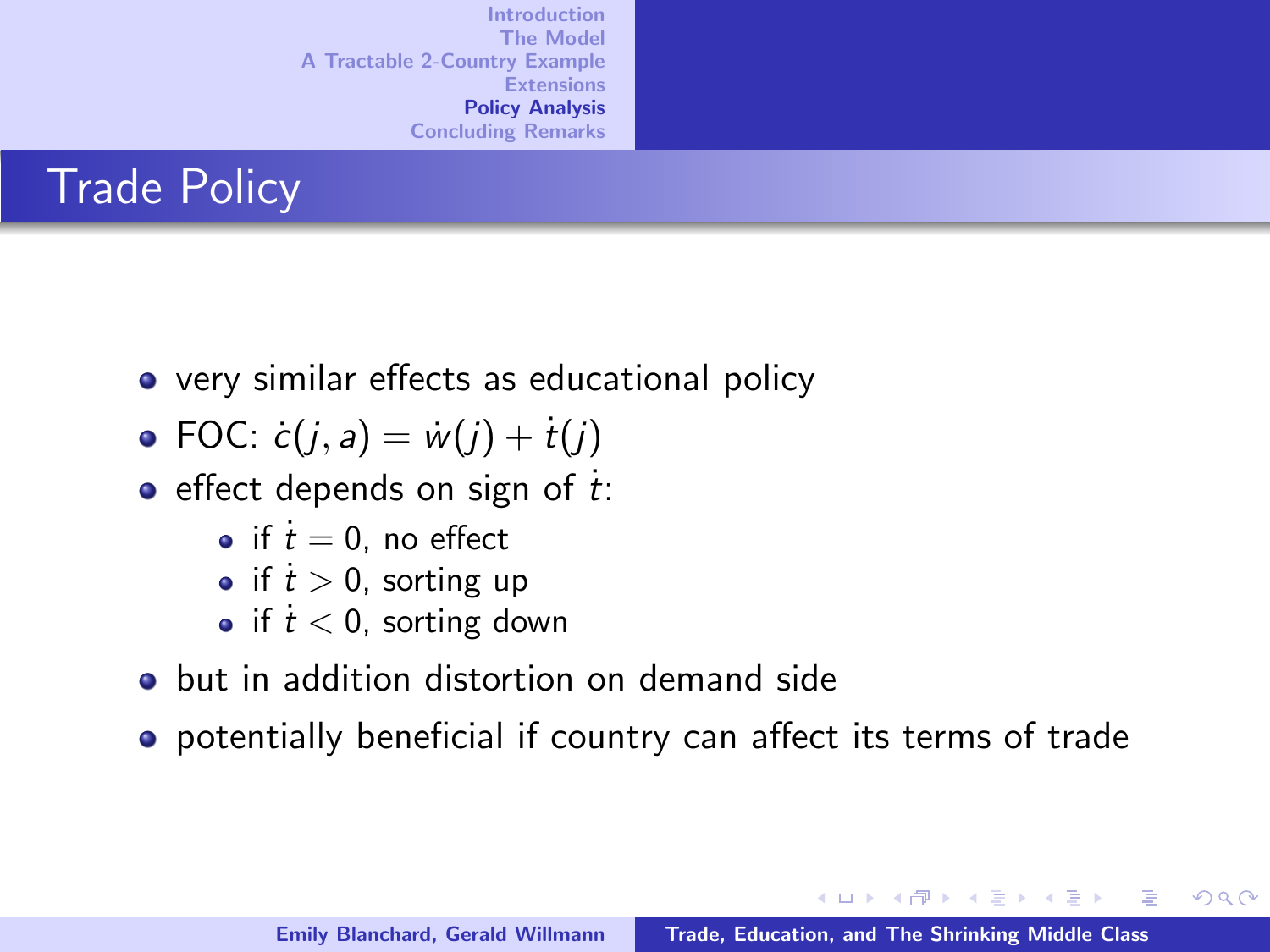

- very similar effects as educational policy
- FOC:  $\dot{c}(i, a) = \dot{w}(i) + \dot{t}(i)$
- e effect depends on sign of  $\dot{t}$ :
	- if  $t = 0$ , no effect
	- if  $t > 0$ , sorting up
	- if  $t < 0$ , sorting down
- **•** but in addition distortion on demand side
- potentially beneficial if country can affect its terms of trade

メロメ メタメ メモメ メモメ

つくい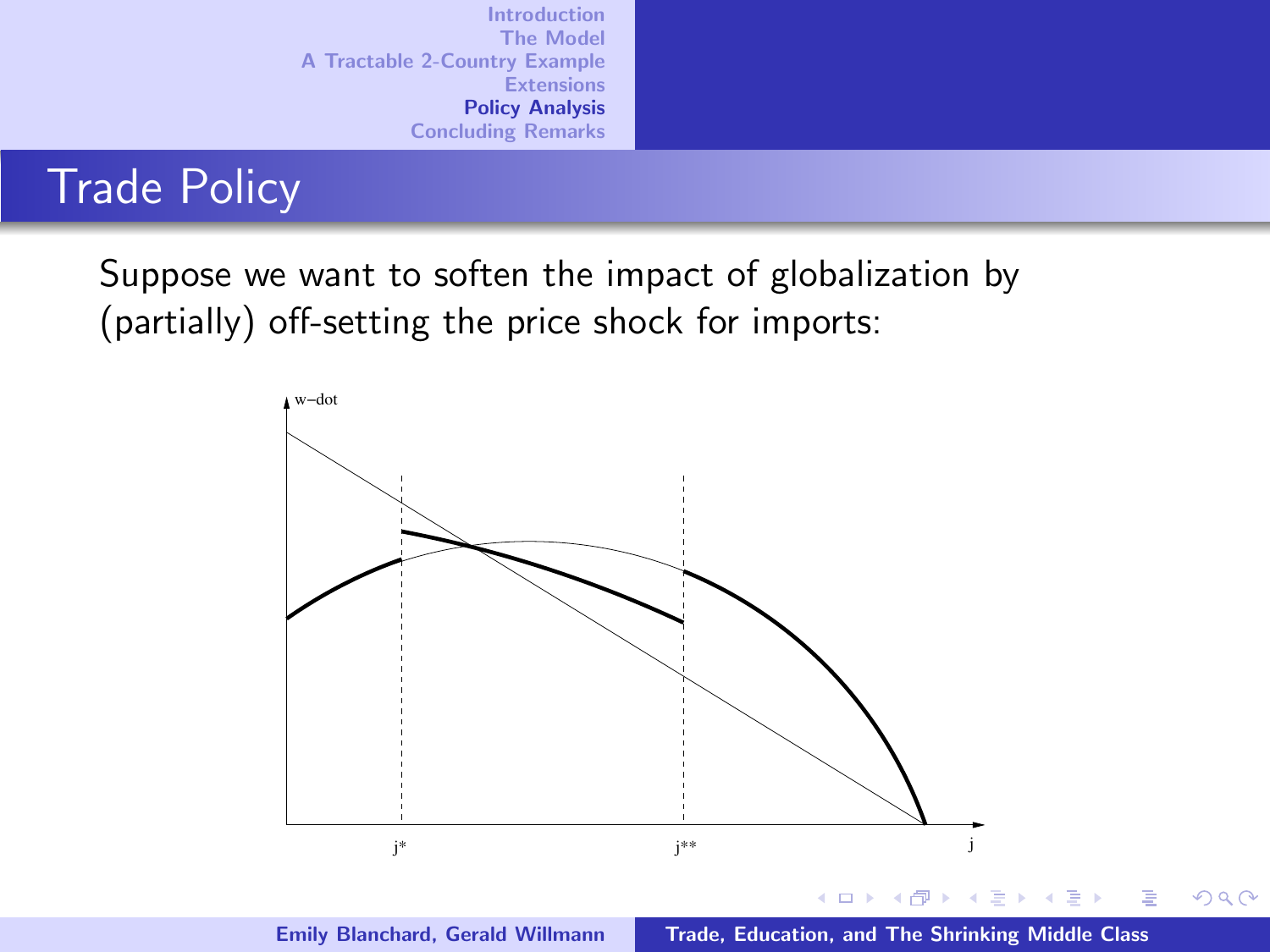# Trade Policy

Suppose we want to soften the impact of globalization by (partially) off-setting the price shock for imports:



 $2Q$ 

扂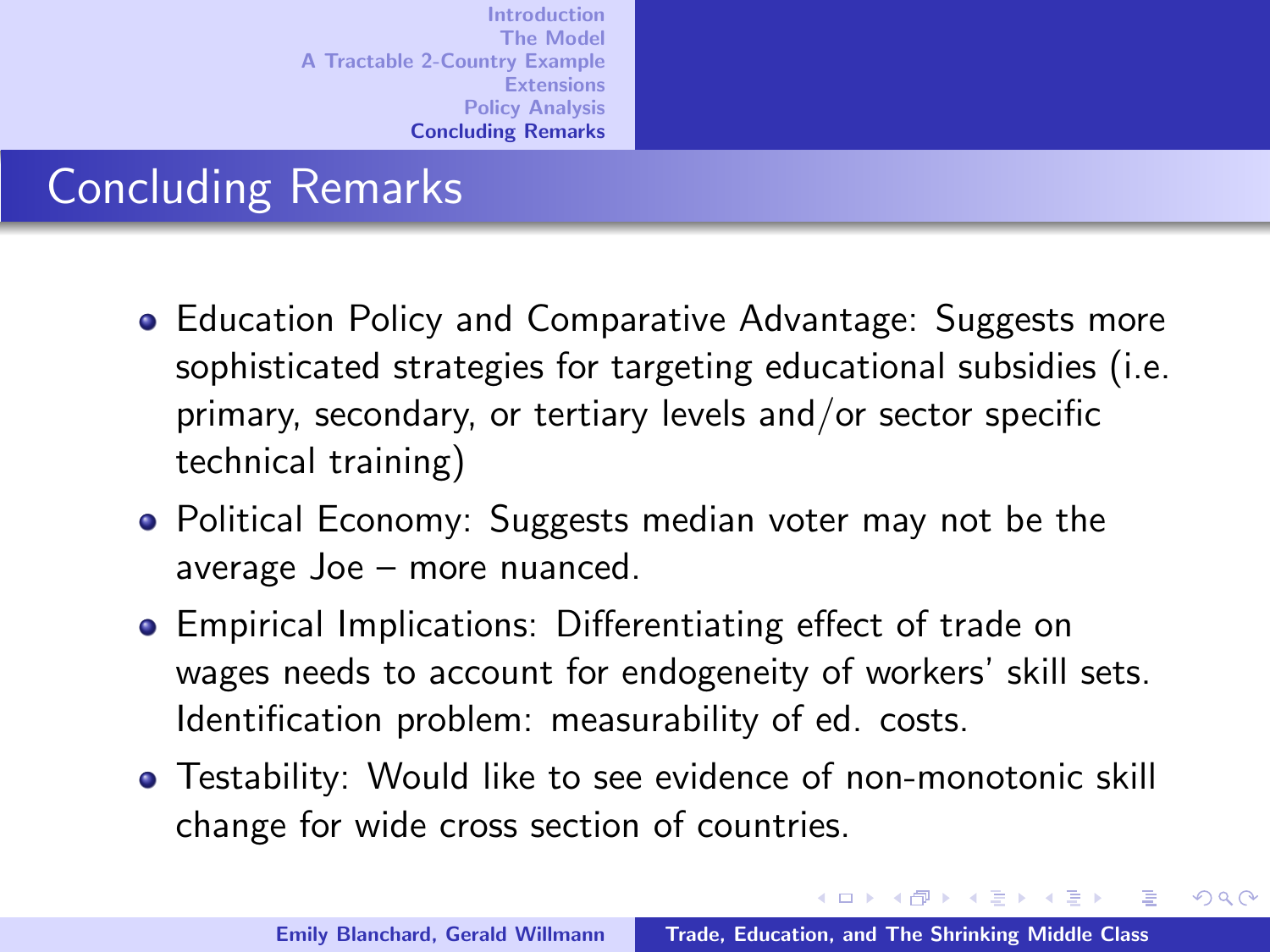# Concluding Remarks

- Education Policy and Comparative Advantage: Suggests more sophisticated strategies for targeting educational subsidies (i.e. primary, secondary, or tertiary levels and/or sector specific technical training)
- Political Economy: Suggests median voter may not be the average Joe – more nuanced.
- Empirical Implications: Differentiating effect of trade on wages needs to account for endogeneity of workers' skill sets. Identification problem: measurability of ed. costs.
- Testability: Would like to see evidence of non-monotonic skill change for wide cross section of countries.

<span id="page-39-0"></span>イロメ マ桐 メラミンマチャ